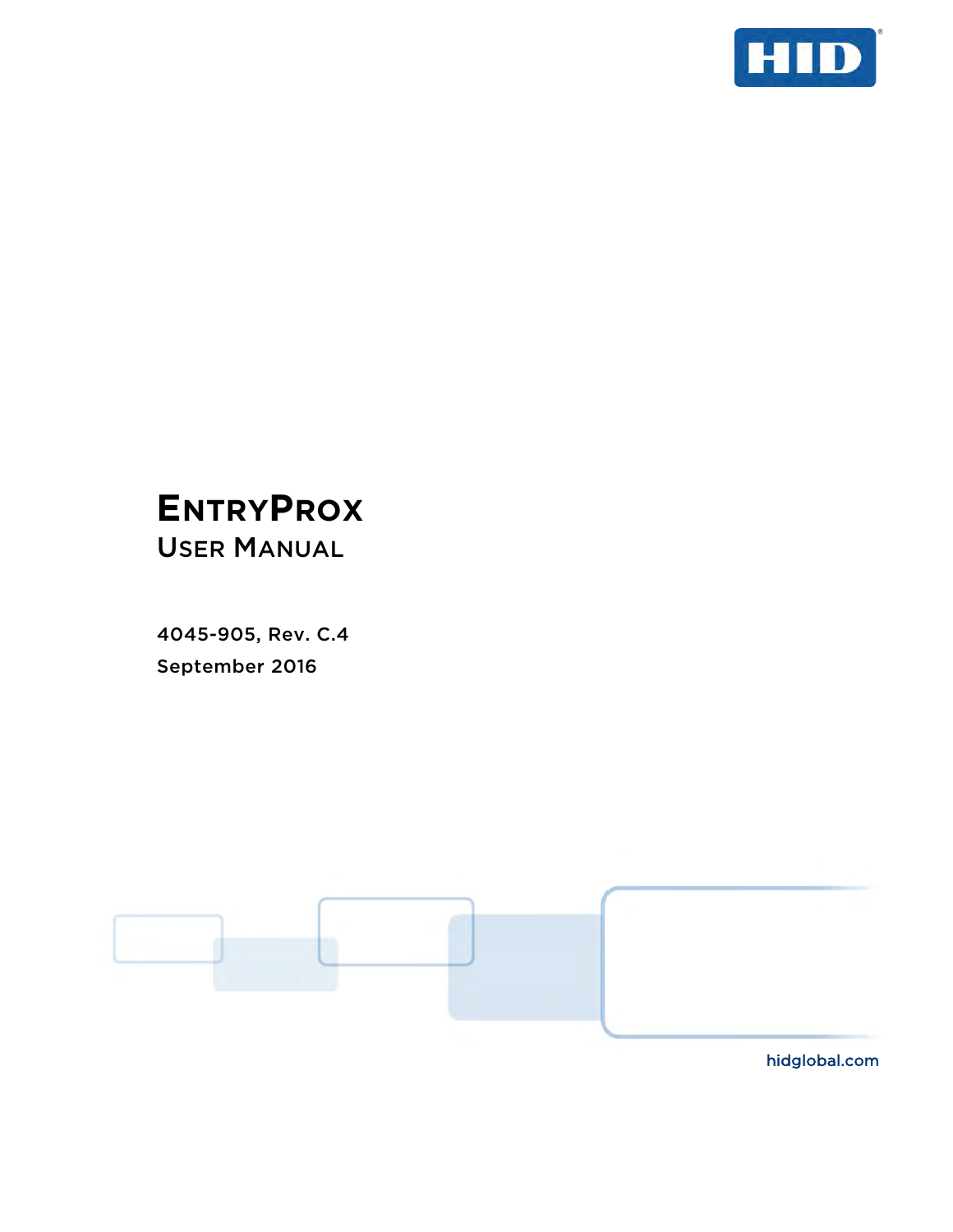

# **ENTRYPROX**

USER MANUAL

4045-905, Rev. C.4 September 2016



hidglobal.com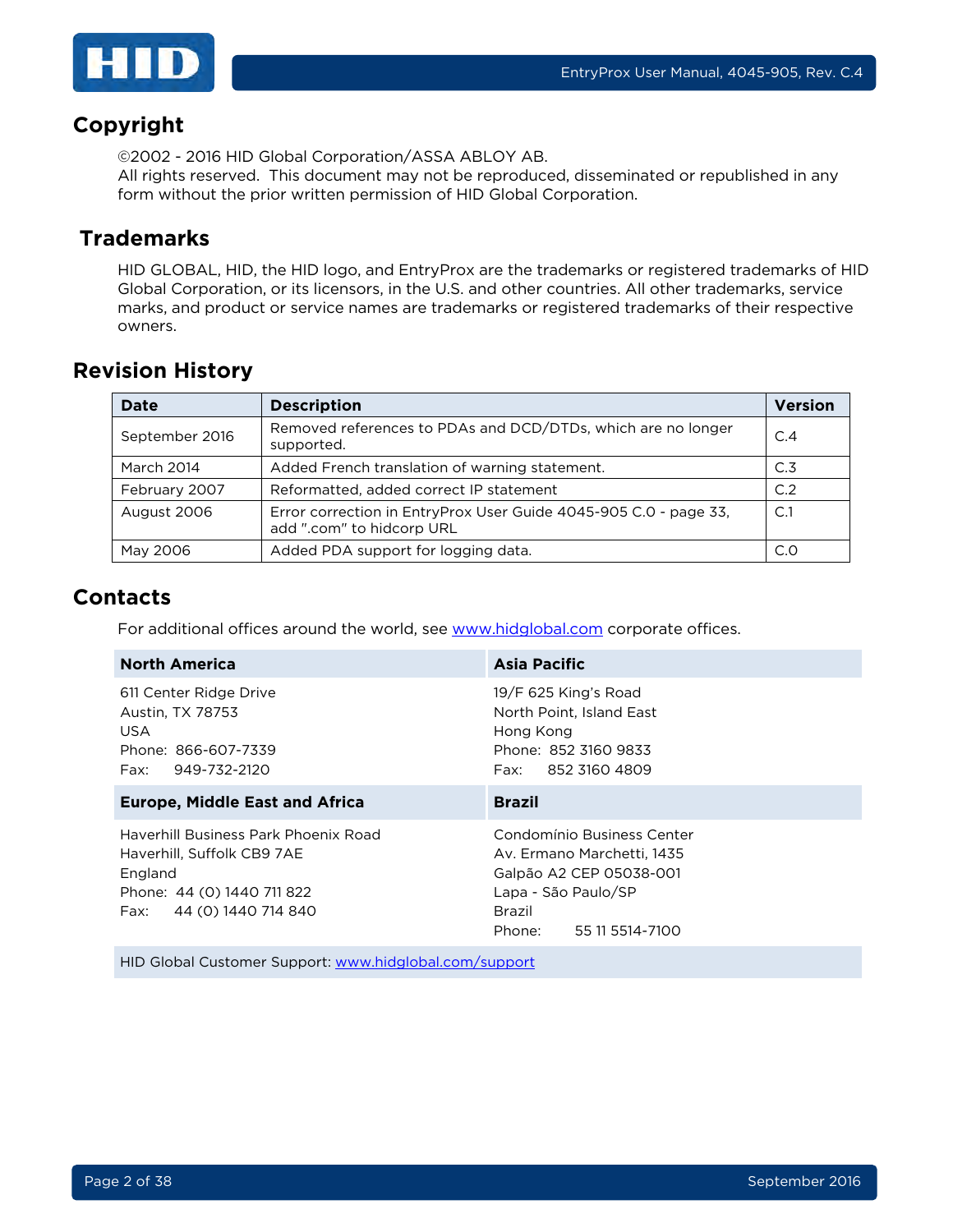

## **Copyright**

©2002 - 2016 HID Global Corporation/ASSA ABLOY AB.

All rights reserved. This document may not be reproduced, disseminated or republished in any form without the prior written permission of HID Global Corporation.

## **Trademarks**

HID GLOBAL, HID, the HID logo, and EntryProx are the trademarks or registered trademarks of HID Global Corporation, or its licensors, in the U.S. and other countries. All other trademarks, service marks, and product or service names are trademarks or registered trademarks of their respective owners.

## **Revision History**

| <b>Date</b>       | <b>Description</b>                                                                            |     |
|-------------------|-----------------------------------------------------------------------------------------------|-----|
| September 2016    | Removed references to PDAs and DCD/DTDs, which are no longer<br>supported.                    | C.4 |
| <b>March 2014</b> | Added French translation of warning statement.<br>C.3                                         |     |
| February 2007     | Reformatted, added correct IP statement                                                       | C.2 |
| August 2006       | Error correction in EntryProx User Guide 4045-905 C.0 - page 33,<br>add ".com" to hidcorp URL | C.1 |
| May 2006          | Added PDA support for logging data.                                                           | C.0 |

## **Contacts**

For additional offices around the world, see [www.hidglobal.com](http://www.hidglobal.com/contact/corporate-offices) corporate offices.

| <b>Asia Pacific</b>                                                                                                                            |  |  |
|------------------------------------------------------------------------------------------------------------------------------------------------|--|--|
| 19/F 625 King's Road<br>North Point, Island East<br>Hong Kong<br>Phone: 852 3160 9833<br>Fax: 852 3160 4809                                    |  |  |
| <b>Brazil</b>                                                                                                                                  |  |  |
| Condomínio Business Center<br>Av. Ermano Marchetti, 1435<br>Galpão A2 CEP 05038-001<br>Lapa - São Paulo/SP<br>Brazil<br>Phone: 55 11 5514-7100 |  |  |
|                                                                                                                                                |  |  |

HID Global Customer Support: [www.hidglobal.com/support](http://www.hidglobal.com/support)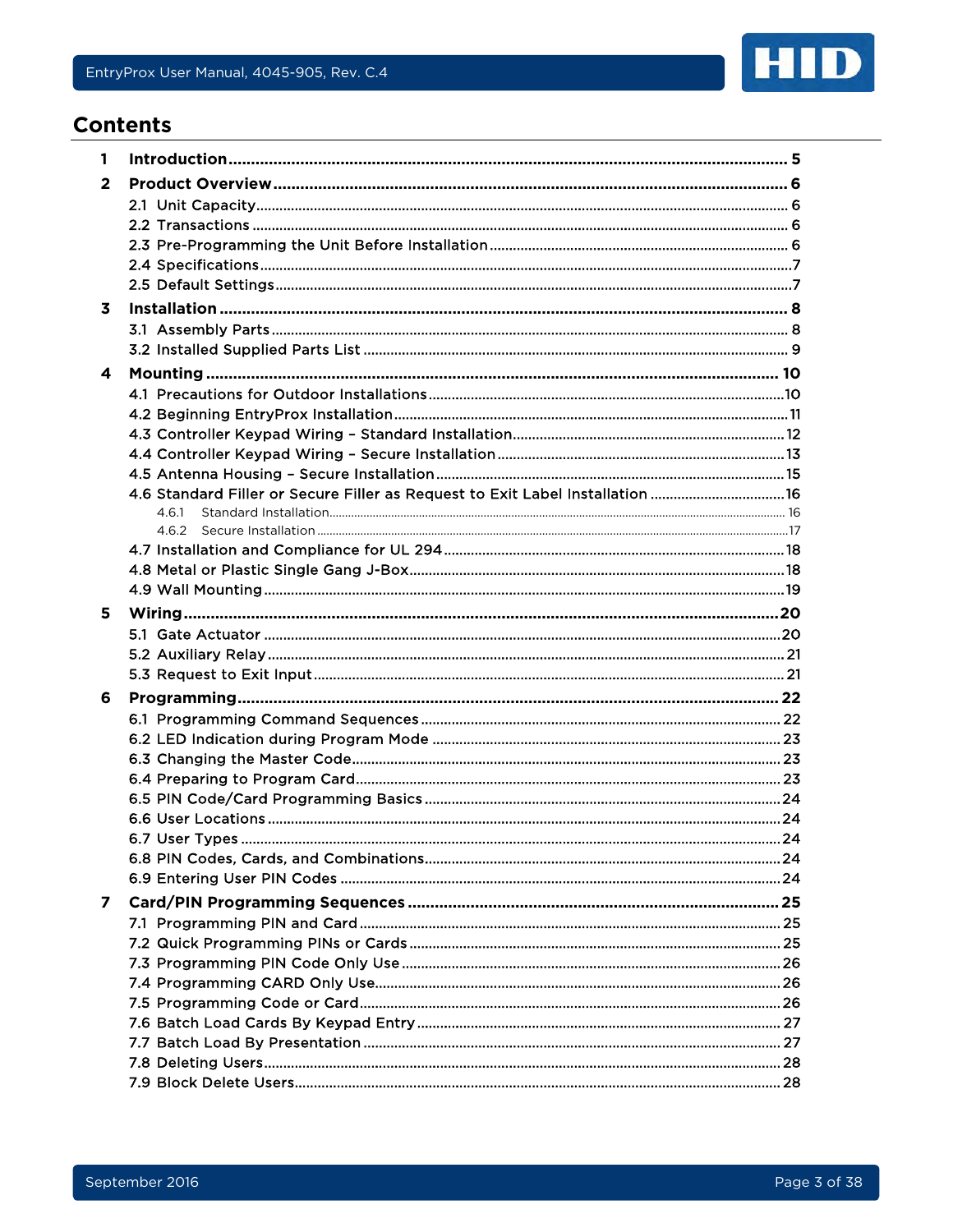

## **Contents**

| 1 |                                                                               |  |
|---|-------------------------------------------------------------------------------|--|
| 2 |                                                                               |  |
|   |                                                                               |  |
|   |                                                                               |  |
|   |                                                                               |  |
|   |                                                                               |  |
|   |                                                                               |  |
| 3 |                                                                               |  |
|   |                                                                               |  |
|   |                                                                               |  |
| 4 |                                                                               |  |
|   |                                                                               |  |
|   |                                                                               |  |
|   |                                                                               |  |
|   |                                                                               |  |
|   |                                                                               |  |
|   | 4.6 Standard Filler or Secure Filler as Request to Exit Label Installation 16 |  |
|   | 4.6.1                                                                         |  |
|   | 4.6.2                                                                         |  |
|   |                                                                               |  |
|   |                                                                               |  |
|   |                                                                               |  |
| 5 |                                                                               |  |
|   |                                                                               |  |
|   |                                                                               |  |
|   |                                                                               |  |
|   |                                                                               |  |
| 6 |                                                                               |  |
|   |                                                                               |  |
|   |                                                                               |  |
|   |                                                                               |  |
|   |                                                                               |  |
|   |                                                                               |  |
|   |                                                                               |  |
|   |                                                                               |  |
|   |                                                                               |  |
|   |                                                                               |  |
| 7 |                                                                               |  |
|   |                                                                               |  |
|   |                                                                               |  |
|   |                                                                               |  |
|   |                                                                               |  |
|   |                                                                               |  |
|   |                                                                               |  |
|   |                                                                               |  |
|   |                                                                               |  |
|   |                                                                               |  |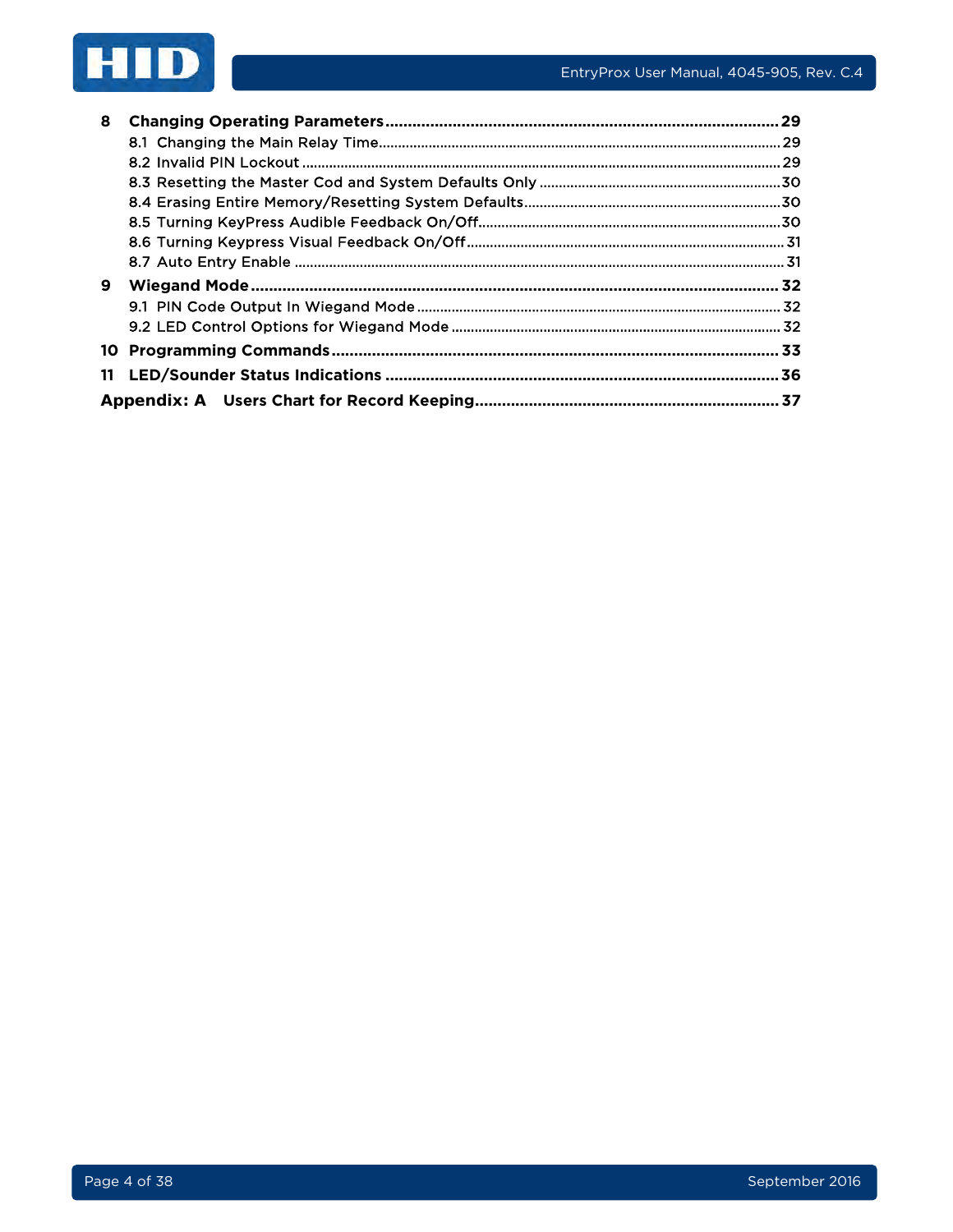

| 8 |  |
|---|--|
|   |  |
|   |  |
|   |  |
|   |  |
|   |  |
|   |  |
|   |  |
| 9 |  |
|   |  |
|   |  |
|   |  |
|   |  |
|   |  |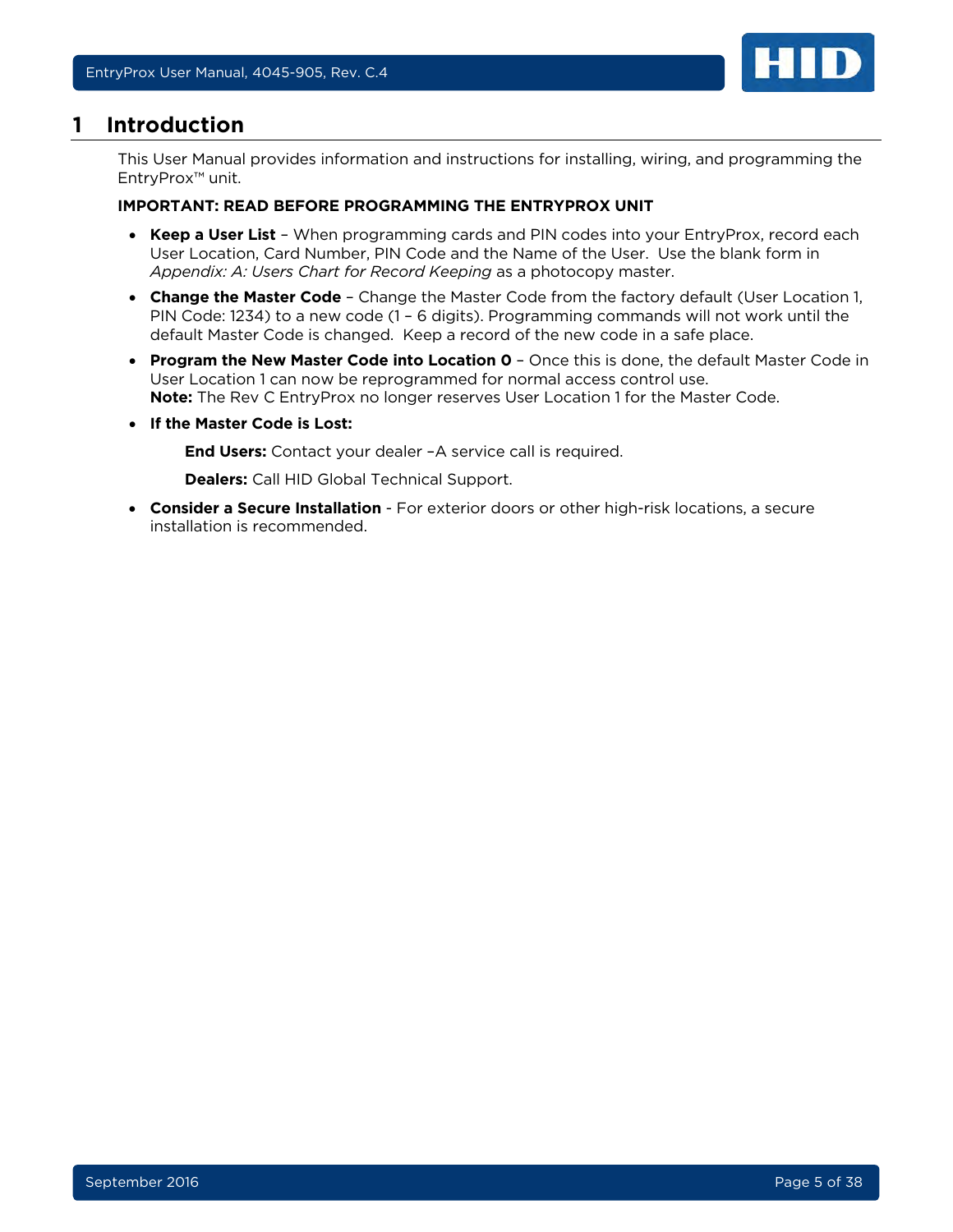

## <span id="page-4-0"></span>**1 Introduction**

This User Manual provides information and instructions for installing, wiring, and programming the EntryProx™ unit.

#### **IMPORTANT: READ BEFORE PROGRAMMING THE ENTRYPROX UNIT**

- **Keep a User List** When programming cards and PIN codes into your EntryProx, record each User Location, Card Number, PIN Code and the Name of the User. Use the blank form in *[Appendix: A: Users Chart for Record Keeping](#page-36-0)* as a photocopy master.
- **Change the Master Code** Change the Master Code from the factory default (User Location 1, PIN Code: 1234) to a new code (1 – 6 digits). Programming commands will not work until the default Master Code is changed. Keep a record of the new code in a safe place.
- **Program the New Master Code into Location 0** Once this is done, the default Master Code in User Location 1 can now be reprogrammed for normal access control use. **Note:** The Rev C EntryProx no longer reserves User Location 1 for the Master Code.
- **If the Master Code is Lost:**

**End Users:** Contact your dealer –A service call is required.

**Dealers:** Call HID Global Technical Support.

• **Consider a Secure Installation** - For exterior doors or other high-risk locations, a secure installation is recommended.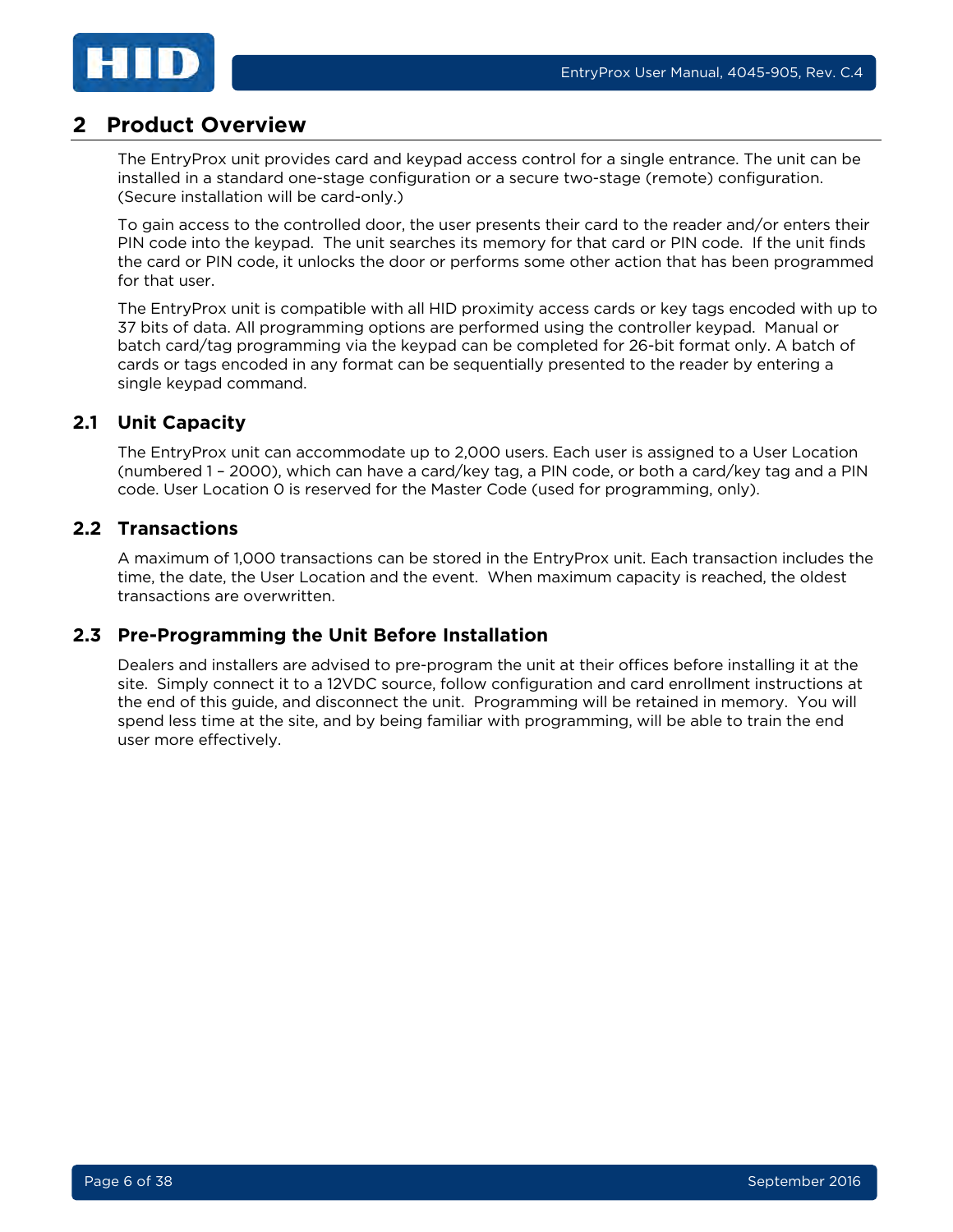

## <span id="page-5-0"></span>**2 Product Overview**

The EntryProx unit provides card and keypad access control for a single entrance. The unit can be installed in a standard one-stage configuration or a secure two-stage (remote) configuration. (Secure installation will be card-only.)

To gain access to the controlled door, the user presents their card to the reader and/or enters their PIN code into the keypad. The unit searches its memory for that card or PIN code. If the unit finds the card or PIN code, it unlocks the door or performs some other action that has been programmed for that user.

The EntryProx unit is compatible with all HID proximity access cards or key tags encoded with up to 37 bits of data. All programming options are performed using the controller keypad. Manual or batch card/tag programming via the keypad can be completed for 26-bit format only. A batch of cards or tags encoded in any format can be sequentially presented to the reader by entering a single keypad command.

## <span id="page-5-1"></span>**2.1 Unit Capacity**

The EntryProx unit can accommodate up to 2,000 users. Each user is assigned to a User Location (numbered 1 – 2000), which can have a card/key tag, a PIN code, or both a card/key tag and a PIN code. User Location 0 is reserved for the Master Code (used for programming, only).

## <span id="page-5-2"></span>**2.2 Transactions**

A maximum of 1,000 transactions can be stored in the EntryProx unit. Each transaction includes the time, the date, the User Location and the event. When maximum capacity is reached, the oldest transactions are overwritten.

#### <span id="page-5-3"></span>**2.3 Pre-Programming the Unit Before Installation**

Dealers and installers are advised to pre-program the unit at their offices before installing it at the site. Simply connect it to a 12VDC source, follow configuration and card enrollment instructions at the end of this guide, and disconnect the unit. Programming will be retained in memory. You will spend less time at the site, and by being familiar with programming, will be able to train the end user more effectively.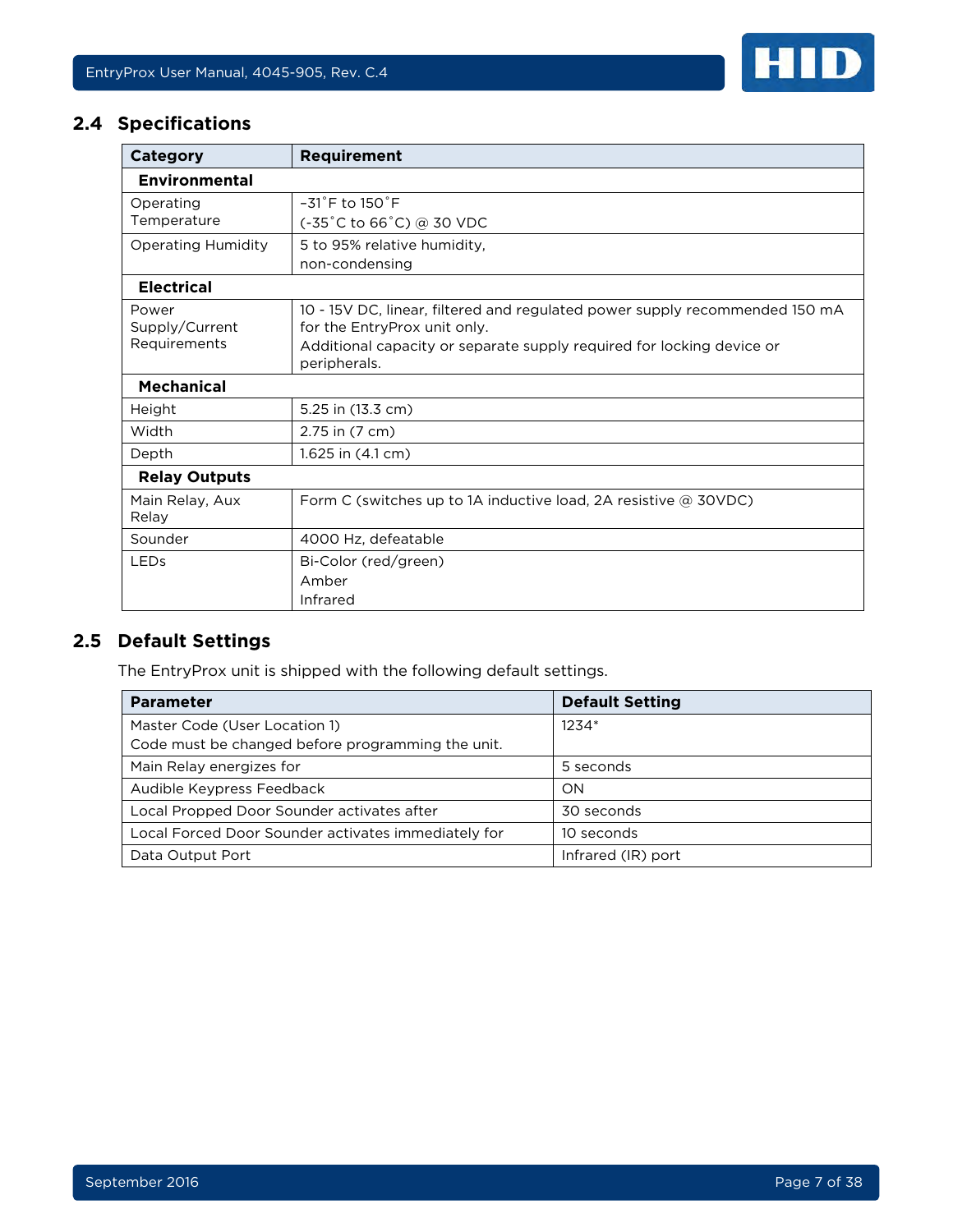

## <span id="page-6-0"></span>**2.4 Specifications**

| Category                  | <b>Requirement</b>                                                                                          |  |  |  |  |  |  |
|---------------------------|-------------------------------------------------------------------------------------------------------------|--|--|--|--|--|--|
| Environmental             |                                                                                                             |  |  |  |  |  |  |
| Operating                 | $-31^{\circ}$ F to $150^{\circ}$ F                                                                          |  |  |  |  |  |  |
| Temperature               | $(-35^{\circ}$ C to 66 $^{\circ}$ C) @ 30 VDC                                                               |  |  |  |  |  |  |
| <b>Operating Humidity</b> | 5 to 95% relative humidity.                                                                                 |  |  |  |  |  |  |
|                           | non-condensing                                                                                              |  |  |  |  |  |  |
| <b>Electrical</b>         |                                                                                                             |  |  |  |  |  |  |
| Power<br>Supply/Current   | 10 - 15V DC, linear, filtered and regulated power supply recommended 150 mA<br>for the EntryProx unit only. |  |  |  |  |  |  |
| Requirements              | Additional capacity or separate supply required for locking device or<br>peripherals.                       |  |  |  |  |  |  |
| <b>Mechanical</b>         |                                                                                                             |  |  |  |  |  |  |
| Height                    | 5.25 in (13.3 cm)                                                                                           |  |  |  |  |  |  |
| Width                     | 2.75 in (7 cm)                                                                                              |  |  |  |  |  |  |
| Depth                     | 1.625 in $(4.1 \text{ cm})$                                                                                 |  |  |  |  |  |  |
| <b>Relay Outputs</b>      |                                                                                                             |  |  |  |  |  |  |
| Main Relay, Aux<br>Relay  | Form C (switches up to 1A inductive load, 2A resistive @ 30VDC)                                             |  |  |  |  |  |  |
| Sounder                   | 4000 Hz, defeatable                                                                                         |  |  |  |  |  |  |
| <b>LEDs</b>               | Bi-Color (red/green)                                                                                        |  |  |  |  |  |  |
|                           | Amber                                                                                                       |  |  |  |  |  |  |
|                           | Infrared                                                                                                    |  |  |  |  |  |  |

## <span id="page-6-1"></span>**2.5 Default Settings**

The EntryProx unit is shipped with the following default settings.

| <b>Parameter</b>                                    | <b>Default Setting</b> |
|-----------------------------------------------------|------------------------|
| Master Code (User Location 1)                       | 1234*                  |
| Code must be changed before programming the unit.   |                        |
| Main Relay energizes for                            | 5 seconds              |
| Audible Keypress Feedback                           | ON                     |
| Local Propped Door Sounder activates after          | 30 seconds             |
| Local Forced Door Sounder activates immediately for | 10 seconds             |
| Data Output Port                                    | Infrared (IR) port     |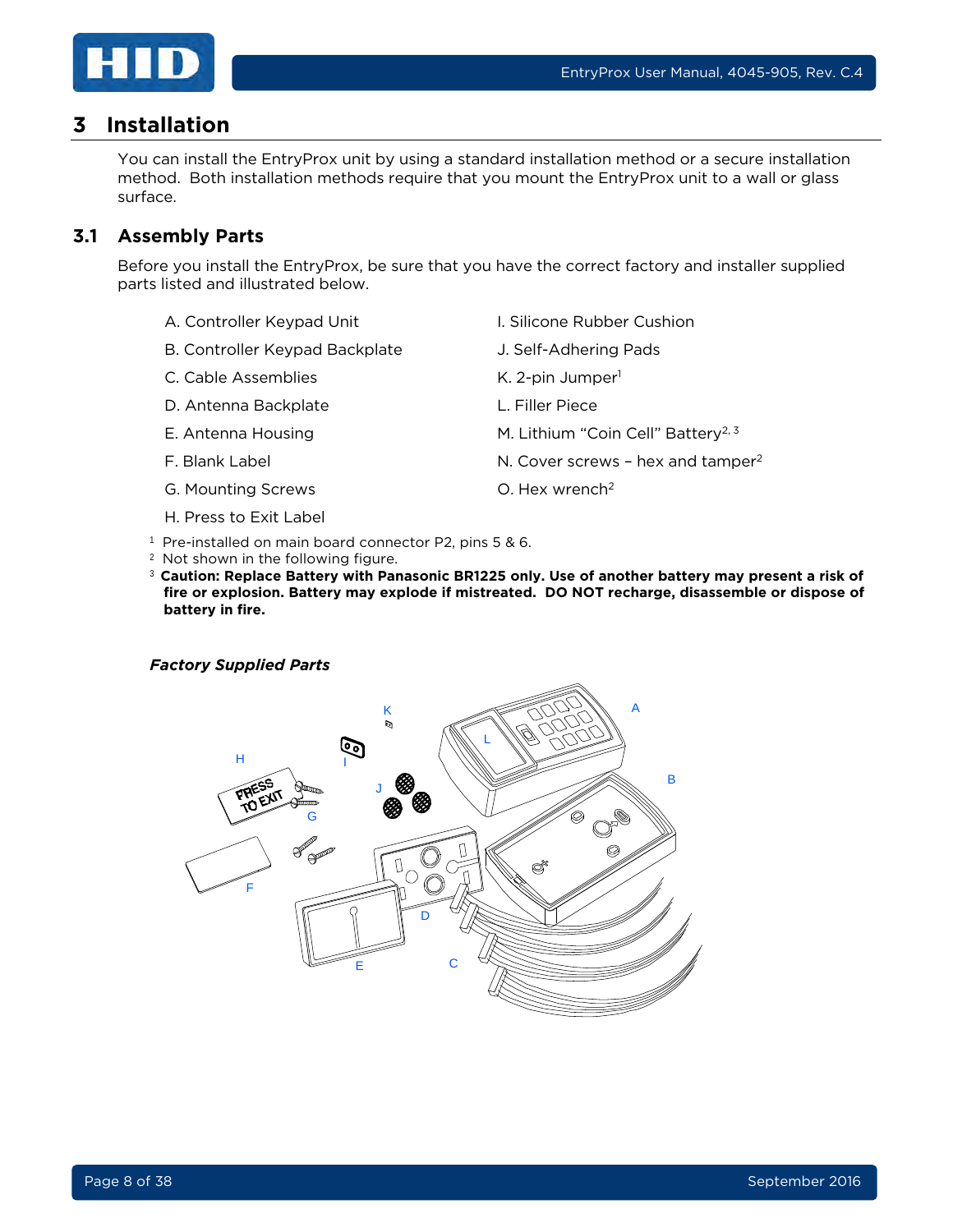

## <span id="page-7-0"></span>**3 Installation**

You can install the EntryProx unit by using a standard installation method or a secure installation method. Both installation methods require that you mount the EntryProx unit to a wall or glass surface.

#### <span id="page-7-1"></span>**3.1 Assembly Parts**

Before you install the EntryProx, be sure that you have the correct factory and installer supplied parts listed and illustrated below.

- A. Controller Keypad Unit **I. Silicone Rubber Cushion**
- B. Controller Keypad Backplate **J. Self-Adhering Pads**
- C. Cable Assemblies K. 2-pin Jumper<sup>1</sup>
- D. Antenna Backplate L. Filler Piece
- 
- 
- G. Mounting Screws C. Hex wrench<sup>2</sup>
- H. Press to Exit Label
- 
- 
- 
- 
- E. Antenna Housing The M. Lithium "Coin Cell" Battery<sup>2, 3</sup>
- F. Blank Label **Example 2** N. Cover screws hex and tamper<sup>2</sup>
	-
- <sup>1</sup> Pre-installed on main board connector P2, pins 5 & 6.
- <sup>2</sup> Not shown in the following figure.
- <sup>3</sup>**Caution: Replace Battery with Panasonic BR1225 only. Use of another battery may present a risk of fire or explosion. Battery may explode if mistreated. DO NOT recharge, disassemble or dispose of battery in fire.**

#### *Factory Supplied Parts*

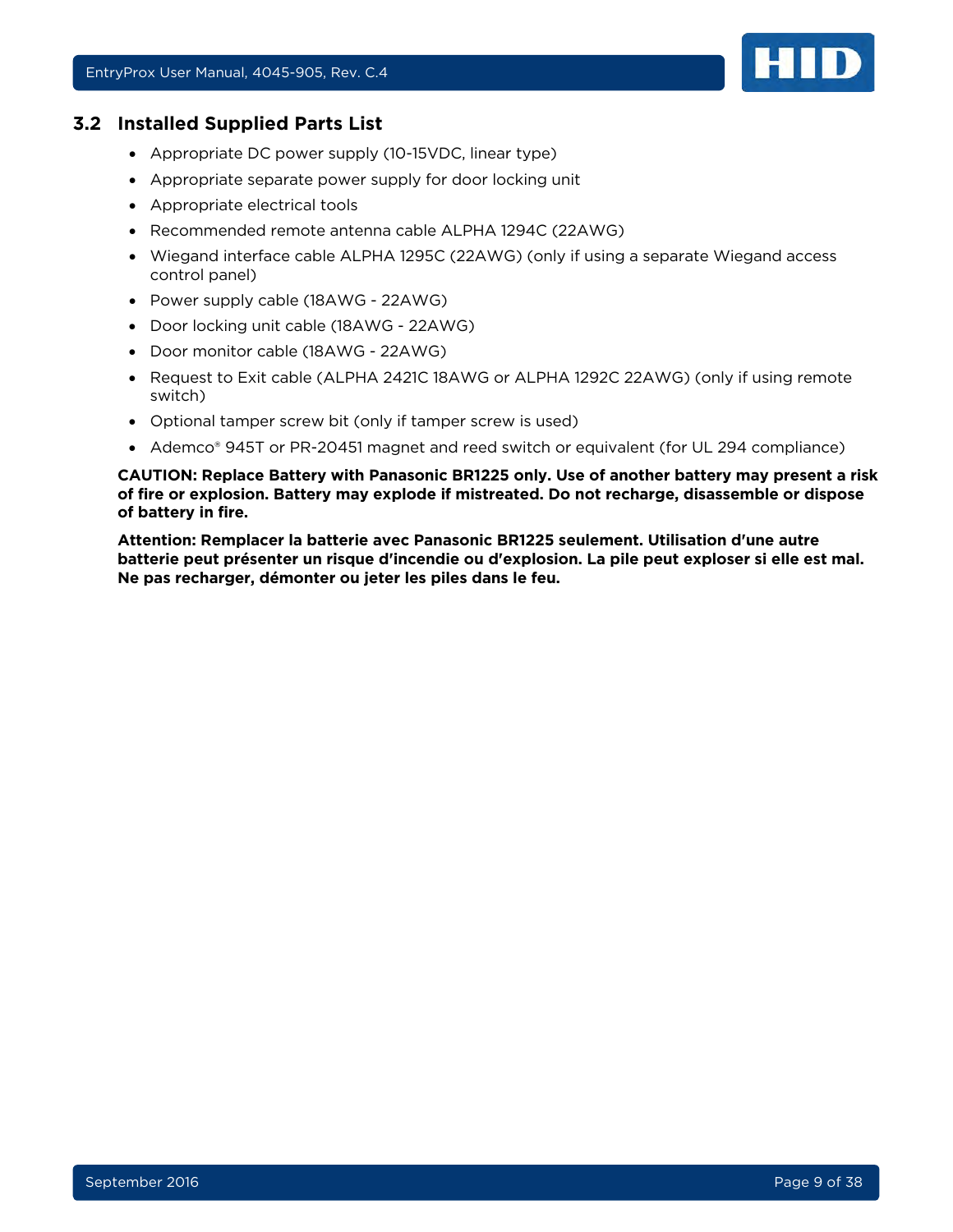#### <span id="page-8-0"></span>**3.2 Installed Supplied Parts List**

- Appropriate DC power supply (10-15VDC, linear type)
- Appropriate separate power supply for door locking unit
- Appropriate electrical tools
- Recommended remote antenna cable ALPHA 1294C (22AWG)
- Wiegand interface cable ALPHA 1295C (22AWG) (only if using a separate Wiegand access control panel)
- Power supply cable (18AWG 22AWG)
- Door locking unit cable (18AWG 22AWG)
- Door monitor cable (18AWG 22AWG)
- Request to Exit cable (ALPHA 2421C 18AWG or ALPHA 1292C 22AWG) (only if using remote switch)
- Optional tamper screw bit (only if tamper screw is used)
- Ademco® 945T or PR-20451 magnet and reed switch or equivalent (for UL 294 compliance)

**CAUTION: Replace Battery with Panasonic BR1225 only. Use of another battery may present a risk of fire or explosion. Battery may explode if mistreated. Do not recharge, disassemble or dispose of battery in fire.**

**Attention: Remplacer la batterie avec Panasonic BR1225 seulement. Utilisation d'une autre batterie peut présenter un risque d'incendie ou d'explosion. La pile peut exploser si elle est mal. Ne pas recharger, démonter ou jeter les piles dans le feu.**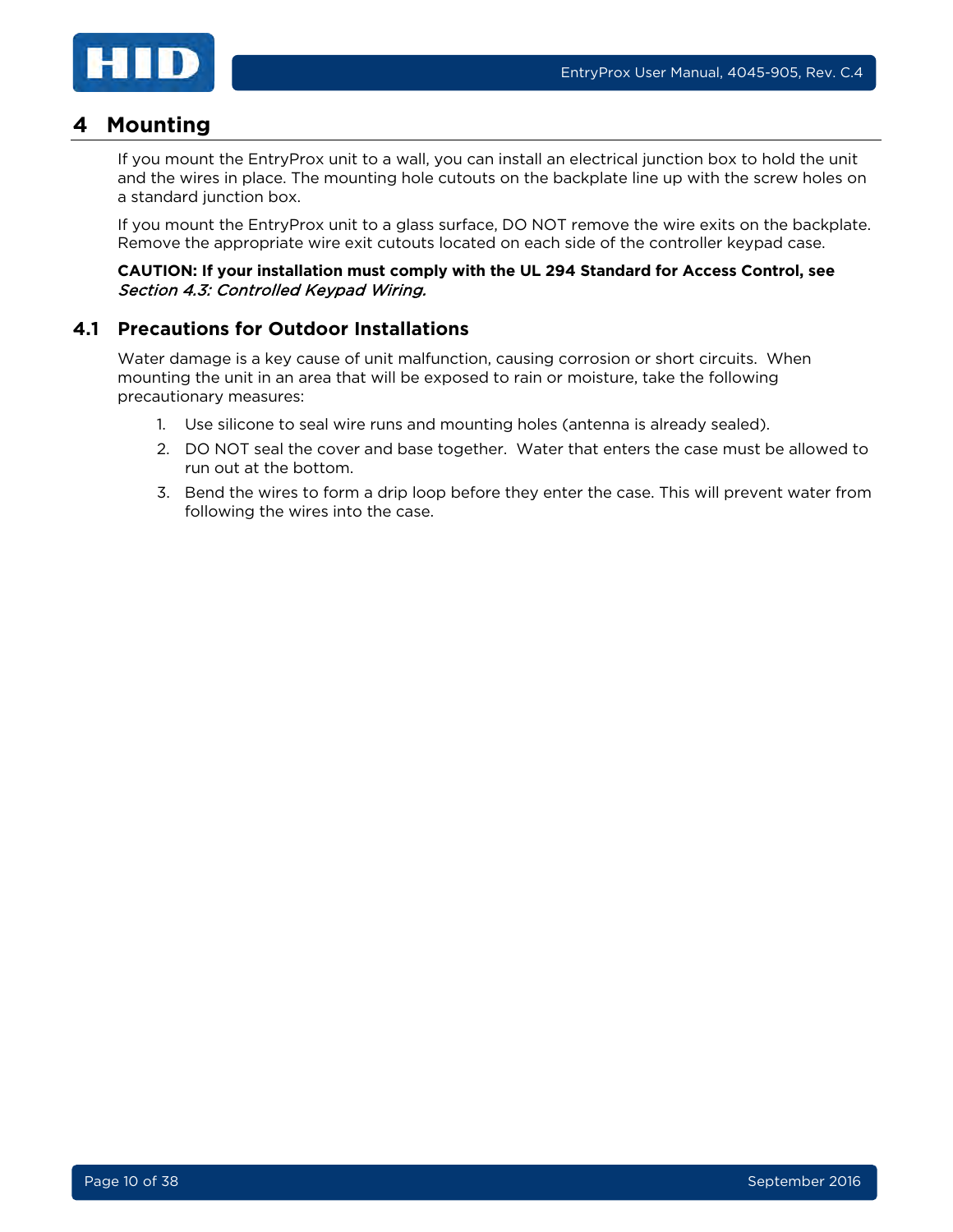

## <span id="page-9-0"></span>**4 Mounting**

If you mount the EntryProx unit to a wall, you can install an electrical junction box to hold the unit and the wires in place. The mounting hole cutouts on the backplate line up with the screw holes on a standard junction box.

If you mount the EntryProx unit to a glass surface, DO NOT remove the wire exits on the backplate. Remove the appropriate wire exit cutouts located on each side of the controller keypad case.

#### **CAUTION: If your installation must comply with the UL 294 Standard for Access Control, see**  Section [4.3: Controlled Keypad Wiring.](#page-11-0)

#### <span id="page-9-1"></span>**4.1 Precautions for Outdoor Installations**

Water damage is a key cause of unit malfunction, causing corrosion or short circuits. When mounting the unit in an area that will be exposed to rain or moisture, take the following precautionary measures:

- 1. Use silicone to seal wire runs and mounting holes (antenna is already sealed).
- 2. DO NOT seal the cover and base together. Water that enters the case must be allowed to run out at the bottom.
- 3. Bend the wires to form a drip loop before they enter the case. This will prevent water from following the wires into the case.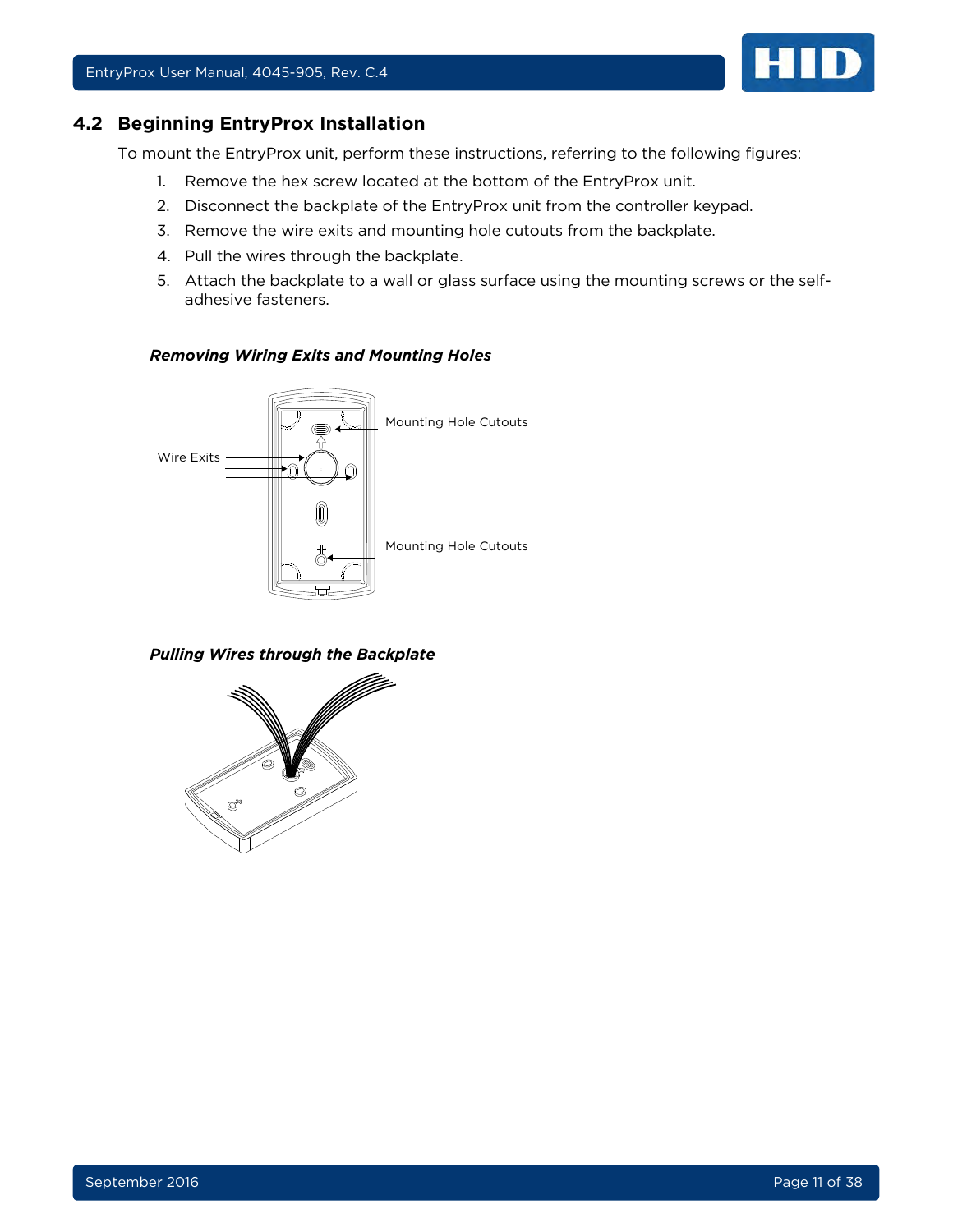<span id="page-10-0"></span>

To mount the EntryProx unit, perform these instructions, referring to the following figures:

- 1. Remove the hex screw located at the bottom of the EntryProx unit.
- 2. Disconnect the backplate of the EntryProx unit from the controller keypad.
- 3. Remove the wire exits and mounting hole cutouts from the backplate.
- 4. Pull the wires through the backplate.
- 5. Attach the backplate to a wall or glass surface using the mounting screws or the selfadhesive fasteners.

#### *Removing Wiring Exits and Mounting Holes*



*Pulling Wires through the Backplate*

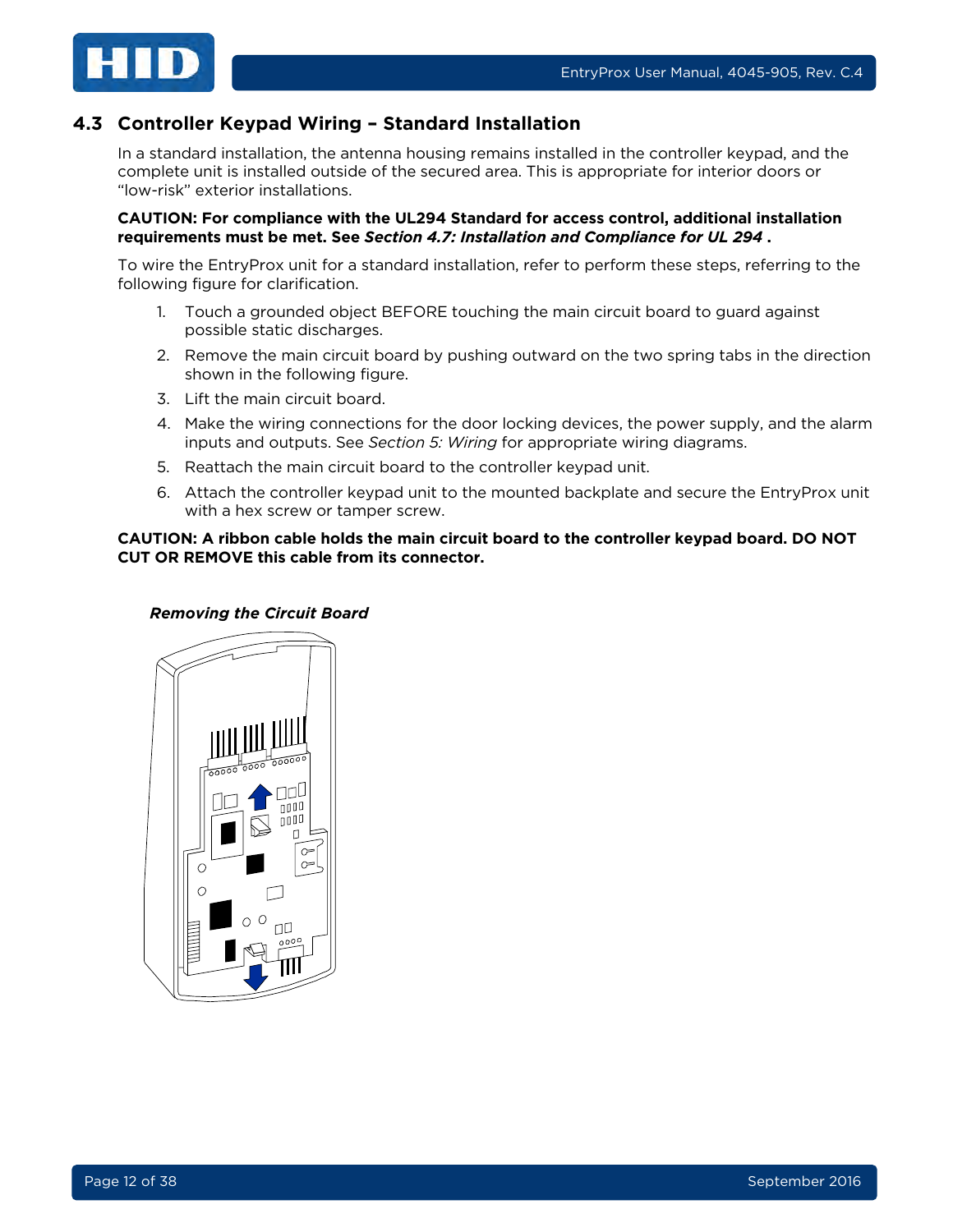

## <span id="page-11-0"></span>**4.3 Controller Keypad Wiring – Standard Installation**

In a standard installation, the antenna housing remains installed in the controller keypad, and the complete unit is installed outside of the secured area. This is appropriate for interior doors or "low-risk" exterior installations.

#### **CAUTION: For compliance with the UL294 Standard for access control, additional installation requirements must be met. See** *Section [4.7: Installation and Compliance for UL 294](#page-17-0)* **.**

To wire the EntryProx unit for a standard installation, refer to perform these steps, referring to the following figure for clarification.

- 1. Touch a grounded object BEFORE touching the main circuit board to guard against possible static discharges.
- 2. Remove the main circuit board by pushing outward on the two spring tabs in the direction shown in the following figure.
- 3. Lift the main circuit board.
- 4. Make the wiring connections for the door locking devices, the power supply, and the alarm inputs and outputs. See *Section [5: Wiring](#page-19-0)* for appropriate wiring diagrams.
- 5. Reattach the main circuit board to the controller keypad unit.
- 6. Attach the controller keypad unit to the mounted backplate and secure the EntryProx unit with a hex screw or tamper screw.

#### **CAUTION: A ribbon cable holds the main circuit board to the controller keypad board. DO NOT CUT OR REMOVE this cable from its connector.**

#### *Removing the Circuit Board*

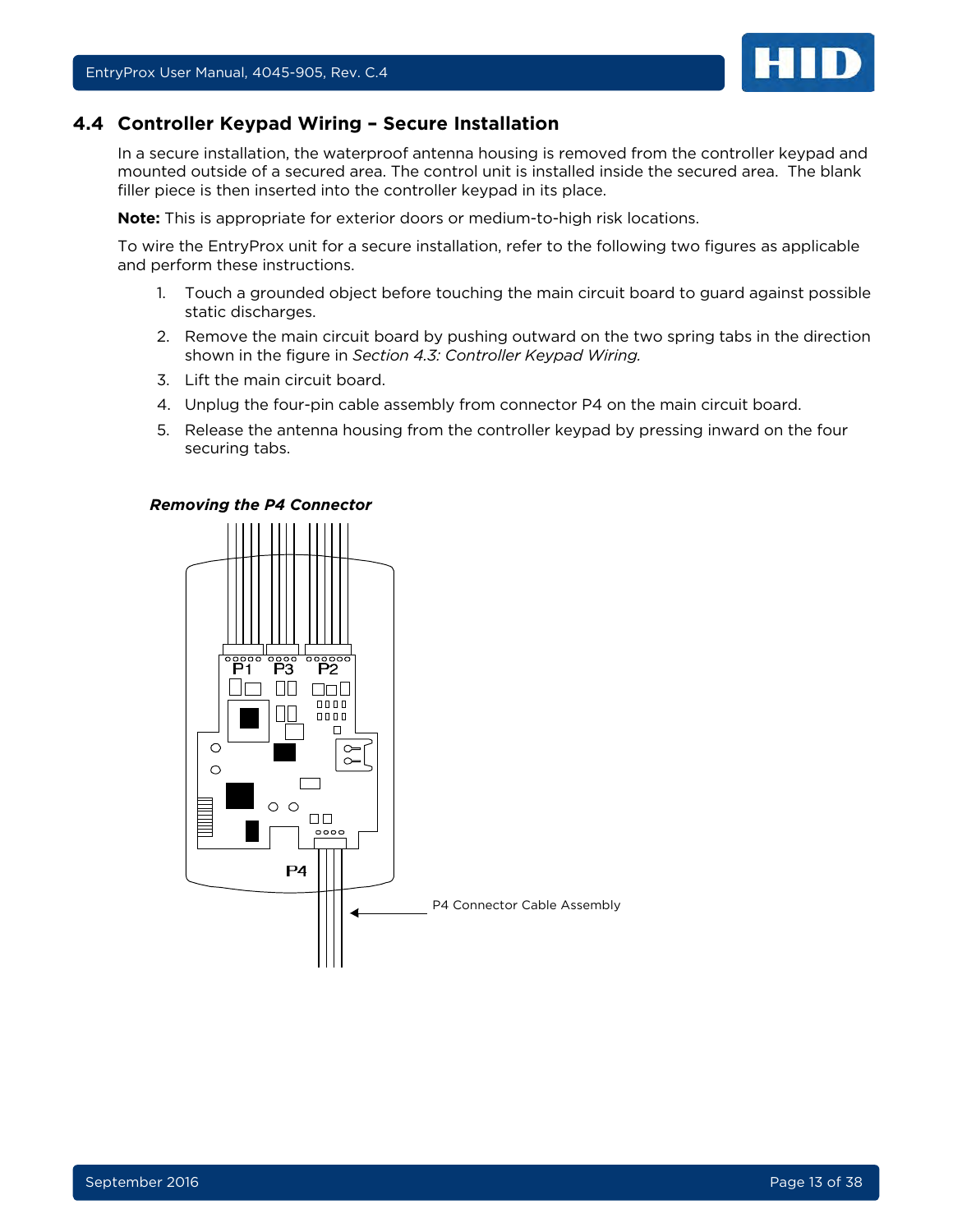

#### <span id="page-12-0"></span>**4.4 Controller Keypad Wiring – Secure Installation**

In a secure installation, the waterproof antenna housing is removed from the controller keypad and mounted outside of a secured area. The control unit is installed inside the secured area. The blank filler piece is then inserted into the controller keypad in its place.

**Note:** This is appropriate for exterior doors or medium-to-high risk locations.

To wire the EntryProx unit for a secure installation, refer to the following two figures as applicable and perform these instructions.

- 1. Touch a grounded object before touching the main circuit board to guard against possible static discharges.
- 2. Remove the main circuit board by pushing outward on the two spring tabs in the direction shown in the figure in *Section [4.3: Controller Keypad Wiring.](#page-11-0)*
- 3. Lift the main circuit board.
- 4. Unplug the four-pin cable assembly from connector P4 on the main circuit board.
- 5. Release the antenna housing from the controller keypad by pressing inward on the four securing tabs.

#### *Removing the P4 Connector*

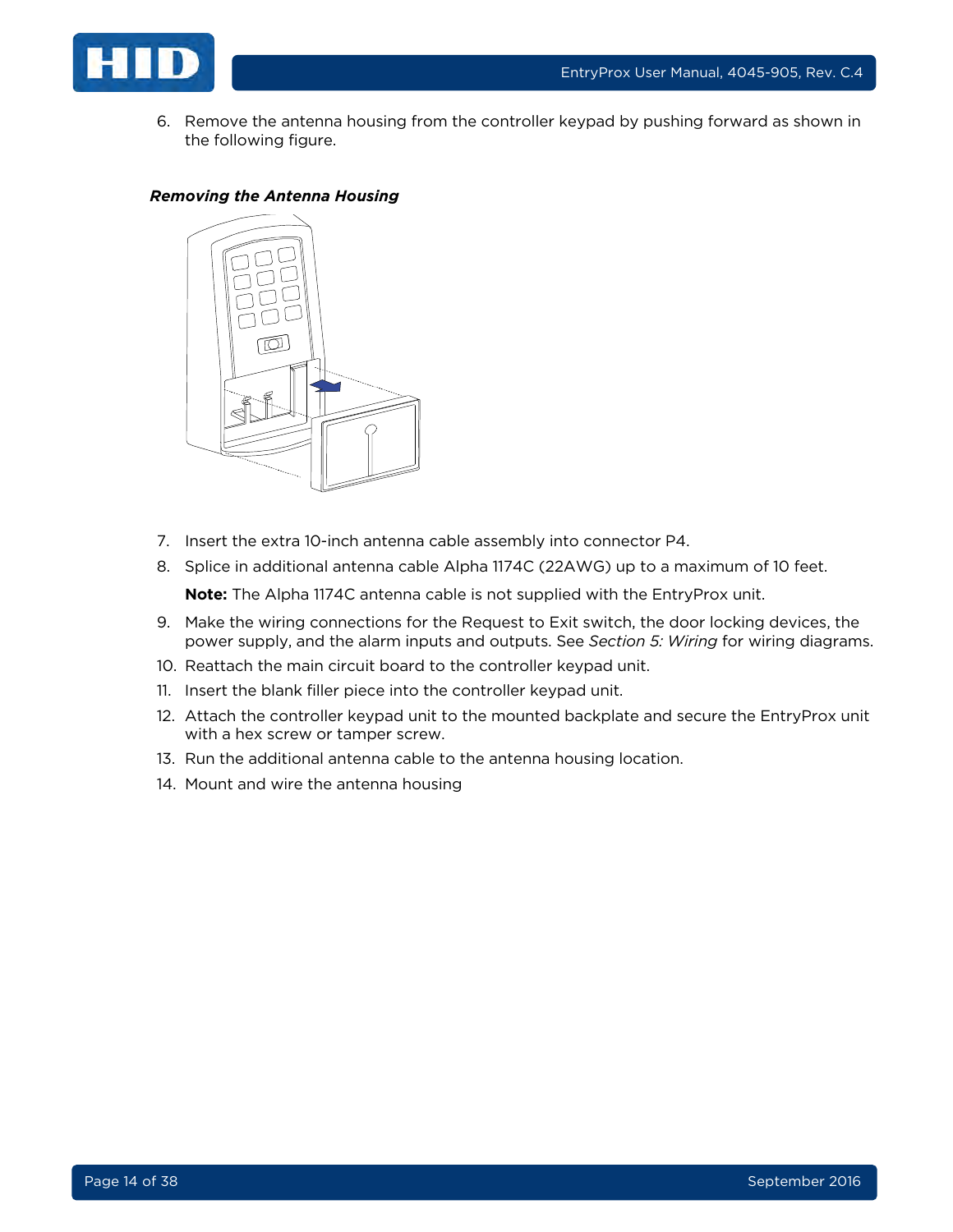

6. Remove the antenna housing from the controller keypad by pushing forward as shown in the following figure.

#### *Removing the Antenna Housing*



- 7. Insert the extra 10-inch antenna cable assembly into connector P4.
- 8. Splice in additional antenna cable Alpha 1174C (22AWG) up to a maximum of 10 feet.

**Note:** The Alpha 1174C antenna cable is not supplied with the EntryProx unit.

- 9. Make the wiring connections for the Request to Exit switch, the door locking devices, the power supply, and the alarm inputs and outputs. See *Section [5: Wiring](#page-19-0)* for wiring diagrams.
- 10. Reattach the main circuit board to the controller keypad unit.
- 11. Insert the blank filler piece into the controller keypad unit.
- 12. Attach the controller keypad unit to the mounted backplate and secure the EntryProx unit with a hex screw or tamper screw.
- 13. Run the additional antenna cable to the antenna housing location.
- 14. Mount and wire the antenna housing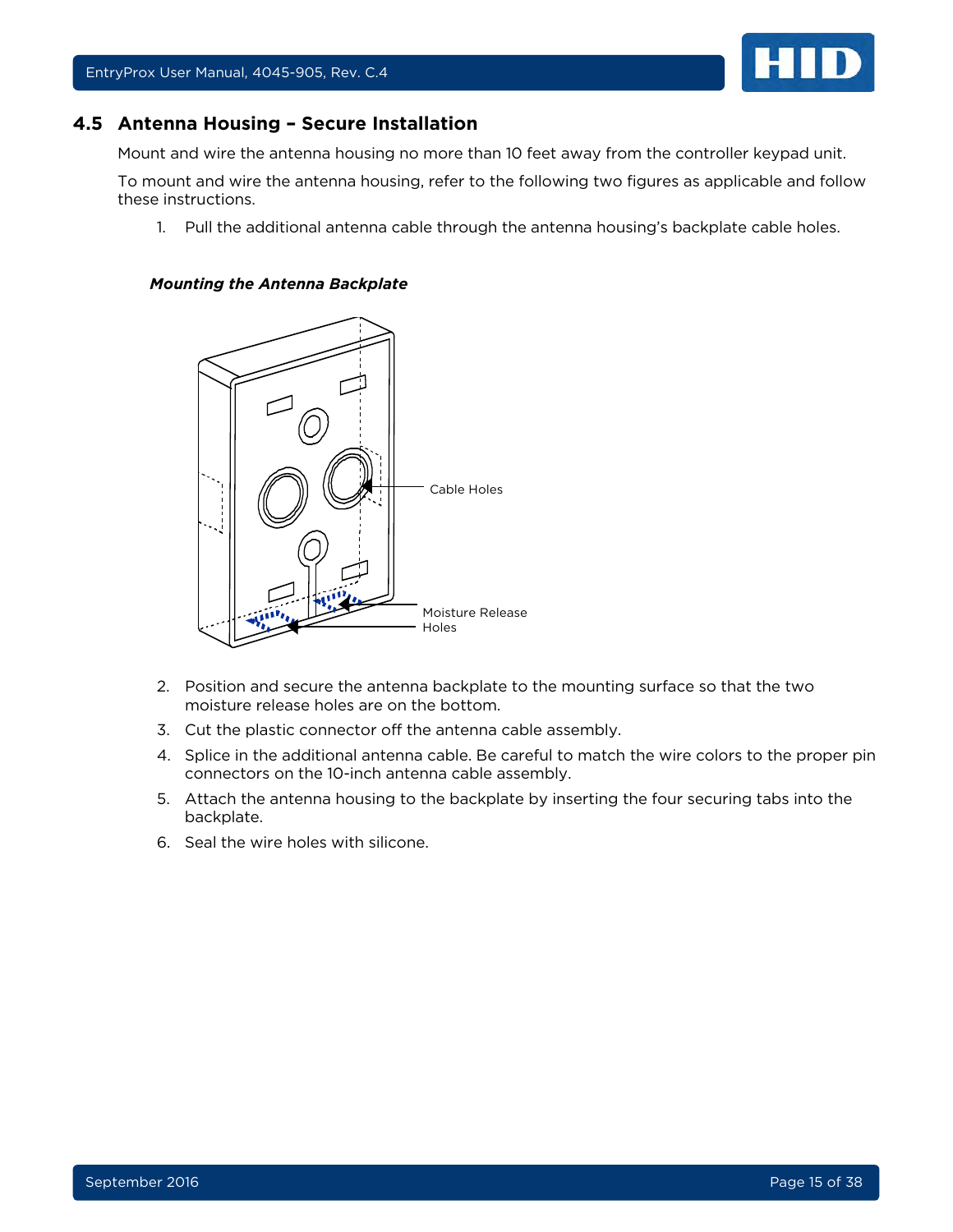

<span id="page-14-0"></span>

Mount and wire the antenna housing no more than 10 feet away from the controller keypad unit.

To mount and wire the antenna housing, refer to the following two figures as applicable and follow these instructions.

1. Pull the additional antenna cable through the antenna housing's backplate cable holes.

#### *Mounting the Antenna Backplate*



- 2. Position and secure the antenna backplate to the mounting surface so that the two moisture release holes are on the bottom.
- 3. Cut the plastic connector off the antenna cable assembly.
- 4. Splice in the additional antenna cable. Be careful to match the wire colors to the proper pin connectors on the 10-inch antenna cable assembly.
- 5. Attach the antenna housing to the backplate by inserting the four securing tabs into the backplate.
- 6. Seal the wire holes with silicone.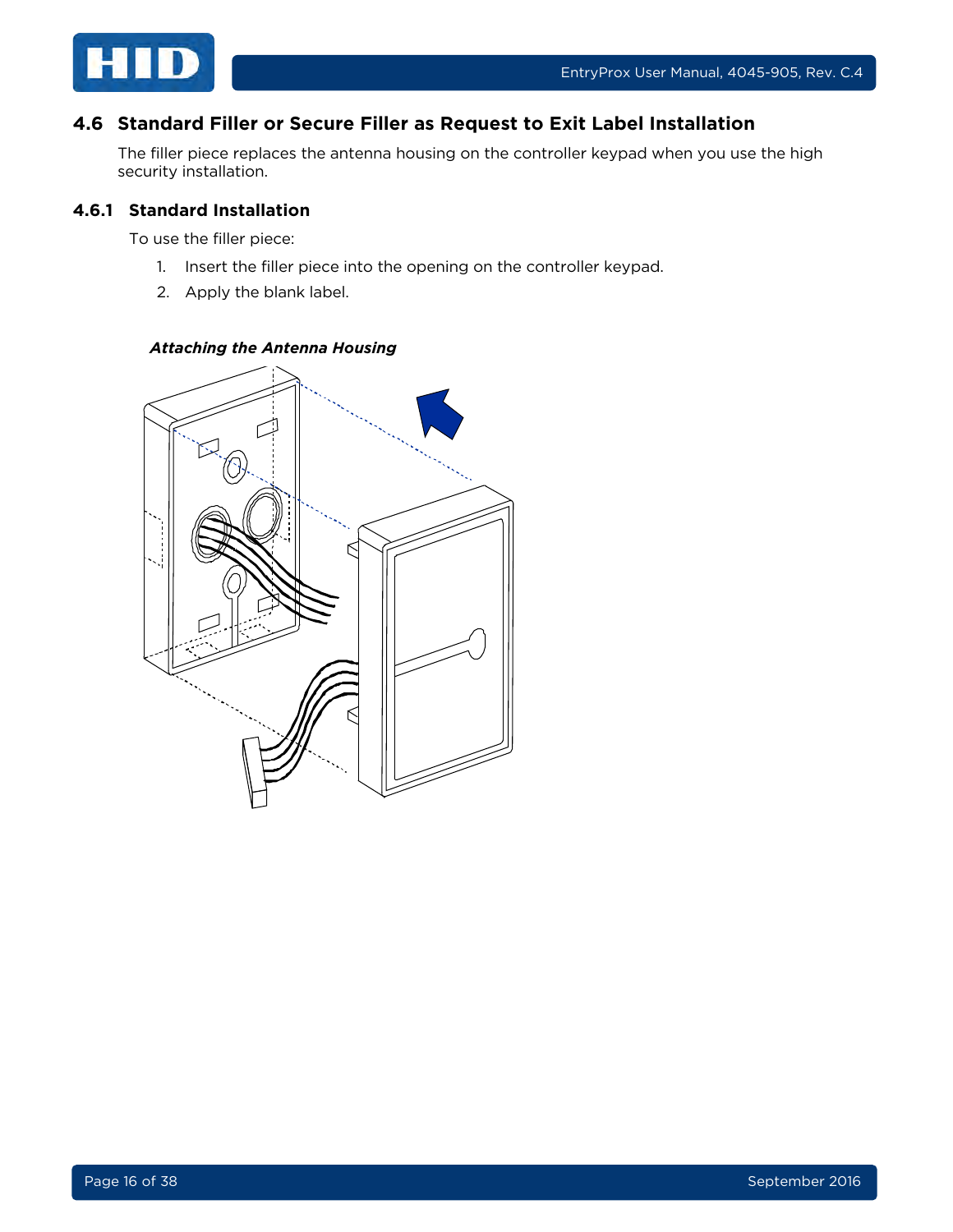

## <span id="page-15-0"></span>**4.6 Standard Filler or Secure Filler as Request to Exit Label Installation**

The filler piece replaces the antenna housing on the controller keypad when you use the high security installation.

#### <span id="page-15-1"></span>**4.6.1 Standard Installation**

To use the filler piece:

- 1. Insert the filler piece into the opening on the controller keypad.
- 2. Apply the blank label.

#### *Attaching the Antenna Housing*

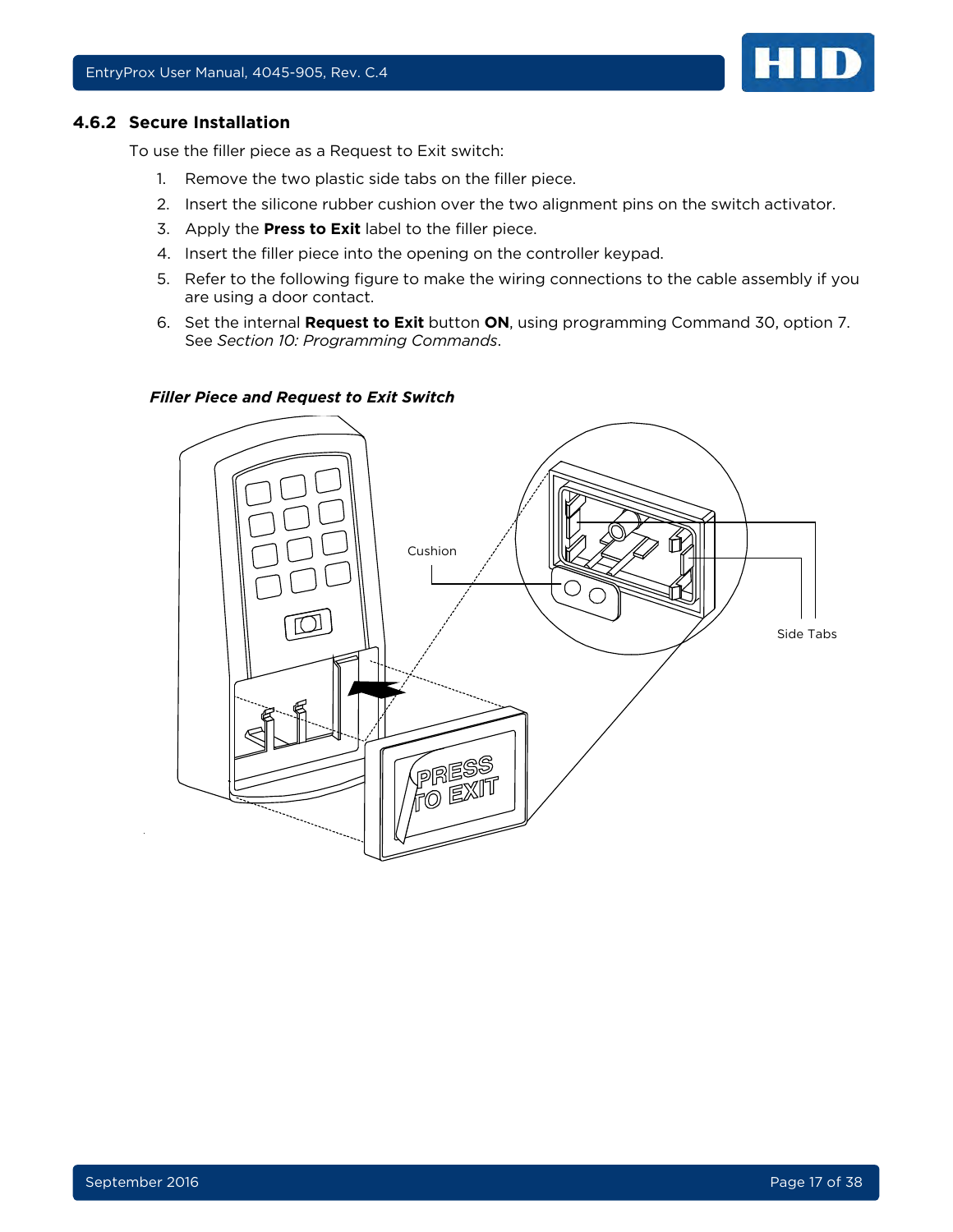<span id="page-16-0"></span>

To use the filler piece as a Request to Exit switch:

- 1. Remove the two plastic side tabs on the filler piece.
- 2. Insert the silicone rubber cushion over the two alignment pins on the switch activator.
- 3. Apply the **Press to Exit** label to the filler piece.
- 4. Insert the filler piece into the opening on the controller keypad.
- 5. Refer to the following figure to make the wiring connections to the cable assembly if you are using a door contact.
- 6. Set the internal **Request to Exit** button **ON**, using programming Command 30, option 7. See *Section [10: Programming Commands](#page-32-0)*.

#### *Filler Piece and Request to Exit Switch*



HID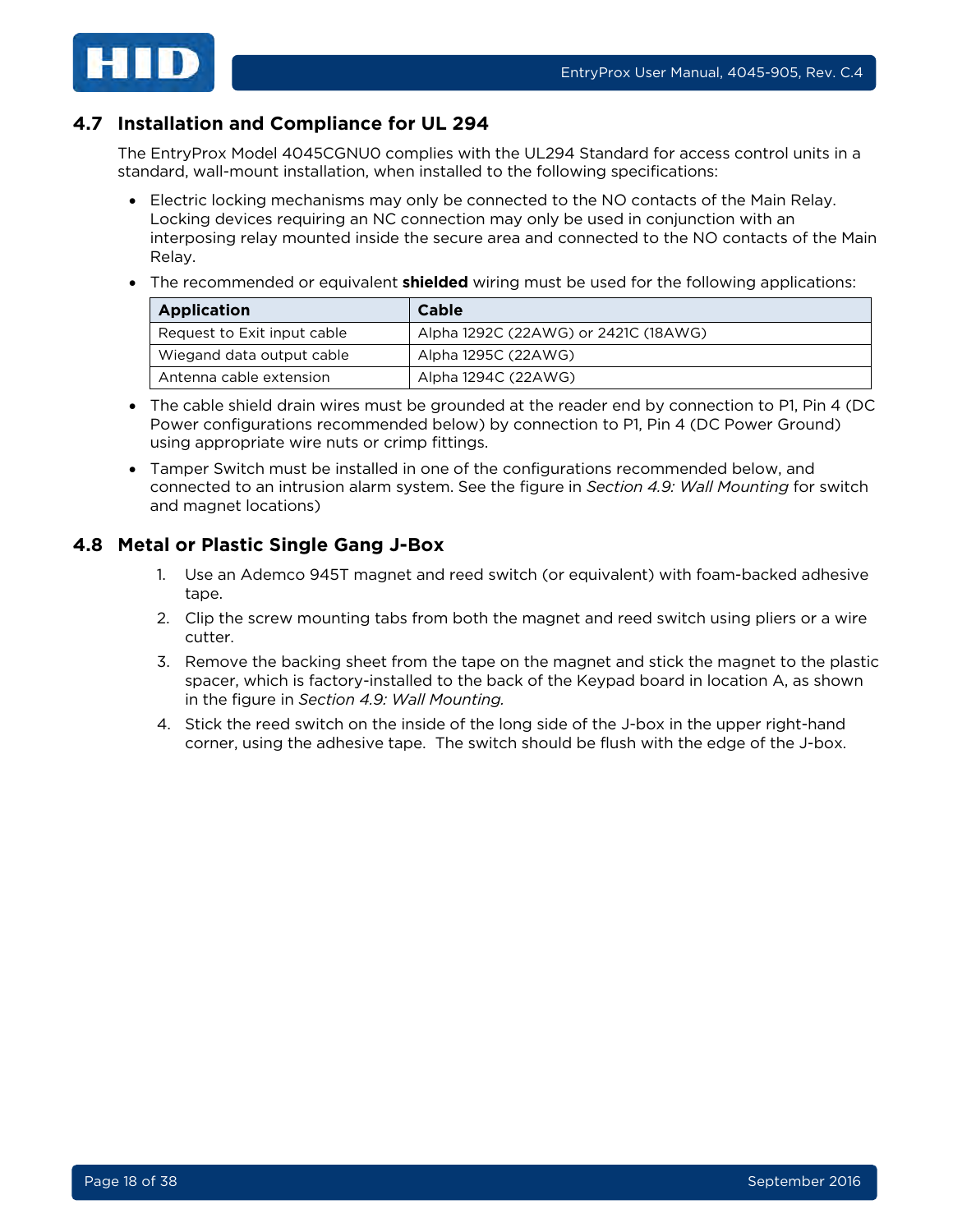

## <span id="page-17-0"></span>**4.7 Installation and Compliance for UL 294**

The EntryProx Model 4045CGNU0 complies with the UL294 Standard for access control units in a standard, wall-mount installation, when installed to the following specifications:

- Electric locking mechanisms may only be connected to the NO contacts of the Main Relay. Locking devices requiring an NC connection may only be used in conjunction with an interposing relay mounted inside the secure area and connected to the NO contacts of the Main Relay.
- The recommended or equivalent **shielded** wiring must be used for the following applications:

| <b>Application</b>          | <b>Cable</b>                         |
|-----------------------------|--------------------------------------|
| Request to Exit input cable | Alpha 1292C (22AWG) or 2421C (18AWG) |
| Wiegand data output cable   | Alpha 1295C (22AWG)                  |
| Antenna cable extension     | Alpha 1294C (22AWG)                  |

- The cable shield drain wires must be grounded at the reader end by connection to P1, Pin 4 (DC Power configurations recommended below) by connection to P1, Pin 4 (DC Power Ground) using appropriate wire nuts or crimp fittings.
- Tamper Switch must be installed in one of the configurations recommended below, and connected to an intrusion alarm system. See the figure in *Section [4.9: Wall Mounting](#page-18-0)* for switch and magnet locations)

## <span id="page-17-1"></span>**4.8 Metal or Plastic Single Gang J-Box**

- 1. Use an Ademco 945T magnet and reed switch (or equivalent) with foam-backed adhesive tape.
- 2. Clip the screw mounting tabs from both the magnet and reed switch using pliers or a wire cutter.
- 3. Remove the backing sheet from the tape on the magnet and stick the magnet to the plastic spacer, which is factory-installed to the back of the Keypad board in location A, as shown in the figure in *Section [4.9: Wall Mounting.](#page-18-0)*
- 4. Stick the reed switch on the inside of the long side of the J-box in the upper right-hand corner, using the adhesive tape. The switch should be flush with the edge of the J-box.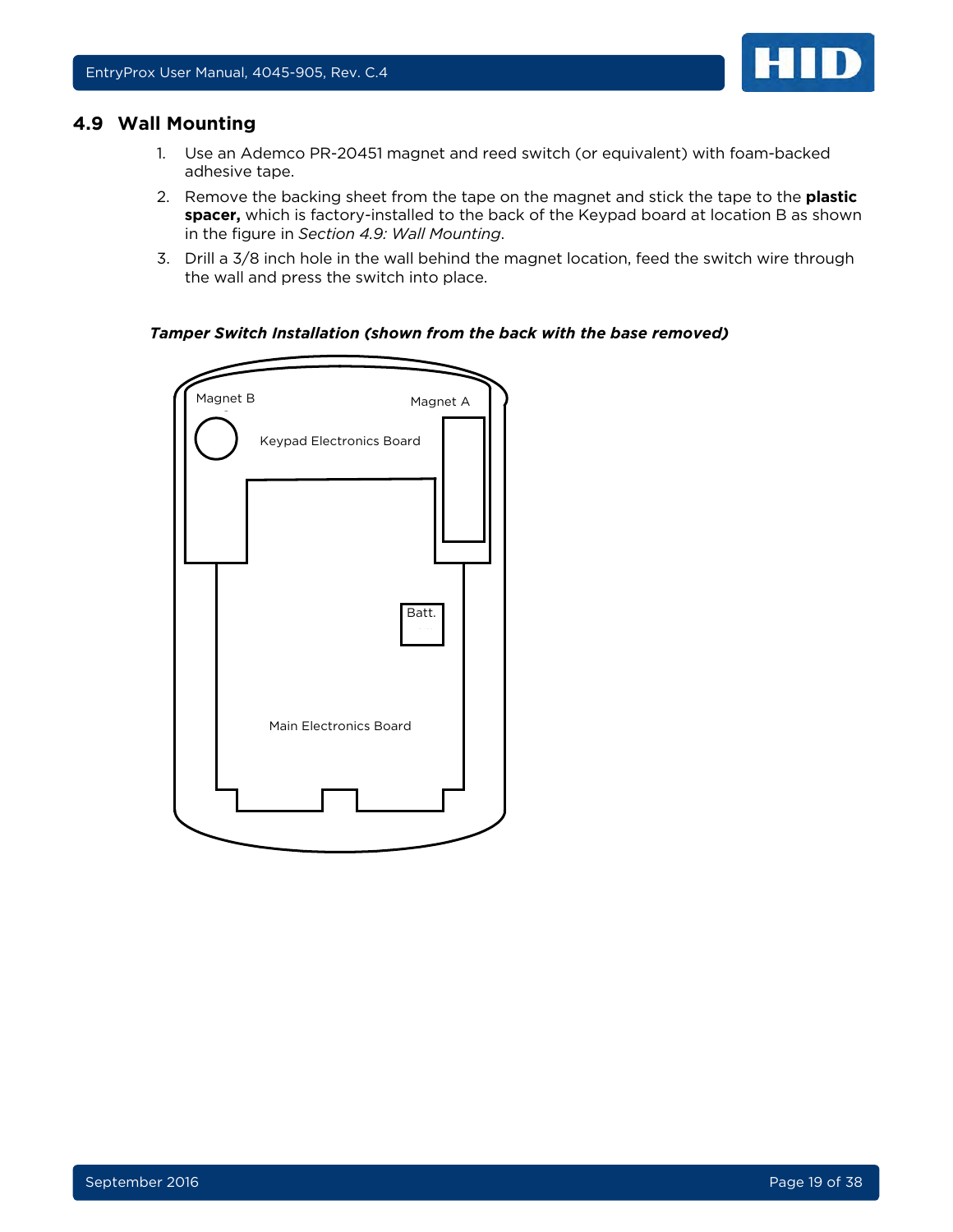

#### <span id="page-18-0"></span>**4.9 Wall Mounting**

- 1. Use an Ademco PR-20451 magnet and reed switch (or equivalent) with foam-backed adhesive tape.
- 2. Remove the backing sheet from the tape on the magnet and stick the tape to the **plastic spacer,** which is factory-installed to the back of the Keypad board at location B as shown in the figure in *Section [4.9: Wall Mounting](#page-18-0)*.
- 3. Drill a 3/8 inch hole in the wall behind the magnet location, feed the switch wire through the wall and press the switch into place.

#### *Tamper Switch Installation (shown from the back with the base removed)*

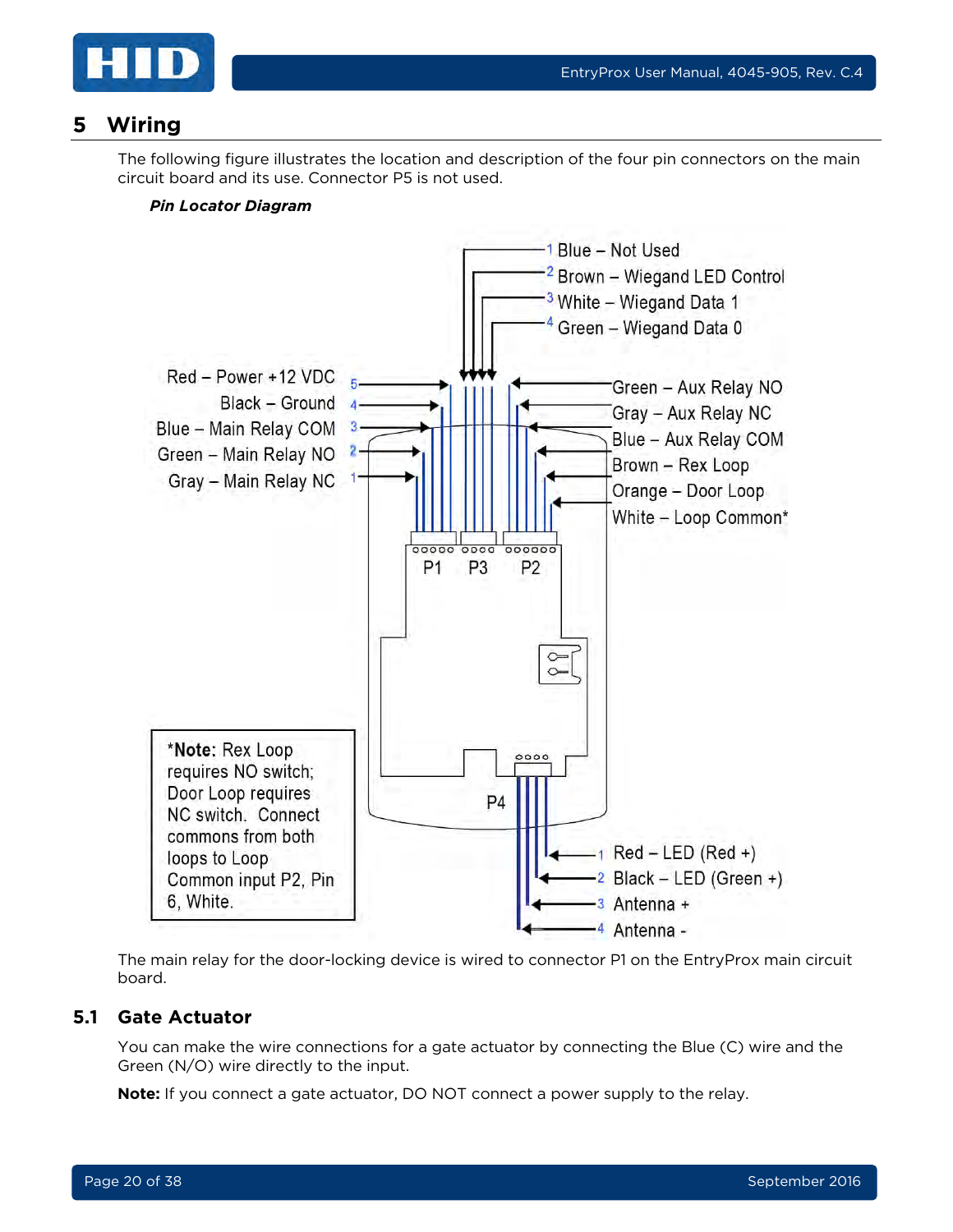

## <span id="page-19-0"></span>**5 Wiring**

The following figure illustrates the location and description of the four pin connectors on the main circuit board and its use. Connector P5 is not used.

#### *Pin Locator Diagram*



The main relay for the door-locking device is wired to connector P1 on the EntryProx main circuit board.

#### <span id="page-19-1"></span>**5.1 Gate Actuator**

You can make the wire connections for a gate actuator by connecting the Blue (C) wire and the Green (N/O) wire directly to the input.

**Note:** If you connect a gate actuator, DO NOT connect a power supply to the relay.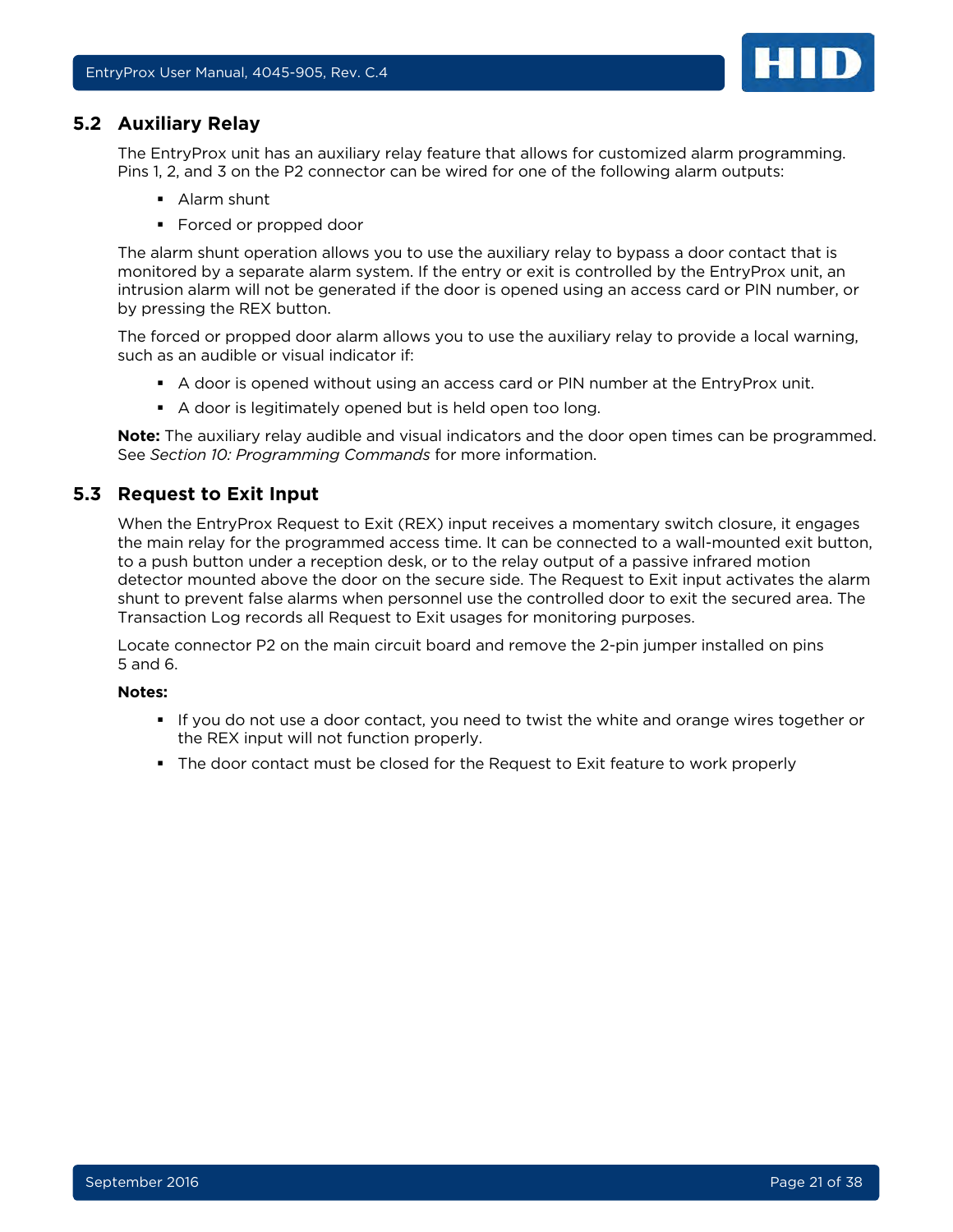

#### <span id="page-20-0"></span>**5.2 Auxiliary Relay**

The EntryProx unit has an auxiliary relay feature that allows for customized alarm programming. Pins 1, 2, and 3 on the P2 connector can be wired for one of the following alarm outputs:

- **Alarm shunt**
- **Forced or propped door**

The alarm shunt operation allows you to use the auxiliary relay to bypass a door contact that is monitored by a separate alarm system. If the entry or exit is controlled by the EntryProx unit, an intrusion alarm will not be generated if the door is opened using an access card or PIN number, or by pressing the REX button.

The forced or propped door alarm allows you to use the auxiliary relay to provide a local warning, such as an audible or visual indicator if:

- A door is opened without using an access card or PIN number at the EntryProx unit.
- A door is legitimately opened but is held open too long.

**Note:** The auxiliary relay audible and visual indicators and the door open times can be programmed. See *Section [10: Programming Commands](#page-32-0)* for more information.

#### <span id="page-20-1"></span>**5.3 Request to Exit Input**

When the EntryProx Request to Exit (REX) input receives a momentary switch closure, it engages the main relay for the programmed access time. It can be connected to a wall-mounted exit button, to a push button under a reception desk, or to the relay output of a passive infrared motion detector mounted above the door on the secure side. The Request to Exit input activates the alarm shunt to prevent false alarms when personnel use the controlled door to exit the secured area. The Transaction Log records all Request to Exit usages for monitoring purposes.

Locate connector P2 on the main circuit board and remove the 2-pin jumper installed on pins 5 and 6.

#### **Notes:**

- If you do not use a door contact, you need to twist the white and orange wires together or the REX input will not function properly.
- The door contact must be closed for the Request to Exit feature to work properly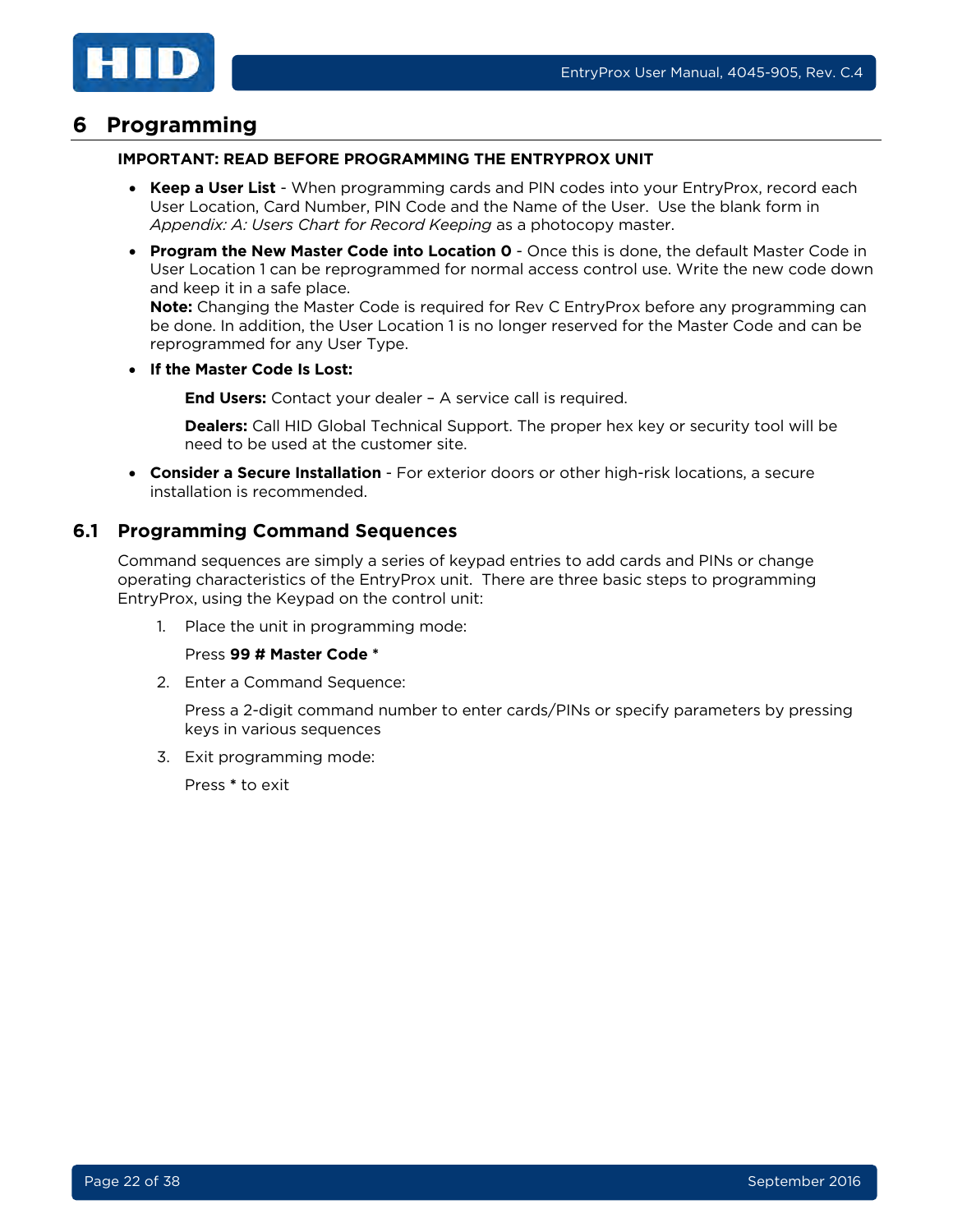

## <span id="page-21-0"></span>**6 Programming**

#### **IMPORTANT: READ BEFORE PROGRAMMING THE ENTRYPROX UNIT**

- **Keep a User List** When programming cards and PIN codes into your EntryProx, record each User Location, Card Number, PIN Code and the Name of the User. Use the blank form in *[Appendix: A: Users Chart for Record Keeping](#page-36-0)* as a photocopy master.
- **Program the New Master Code into Location 0** Once this is done, the default Master Code in User Location 1 can be reprogrammed for normal access control use. Write the new code down and keep it in a safe place.

**Note:** Changing the Master Code is required for Rev C EntryProx before any programming can be done. In addition, the User Location 1 is no longer reserved for the Master Code and can be reprogrammed for any User Type.

• **If the Master Code Is Lost:** 

**End Users:** Contact your dealer – A service call is required.

**Dealers:** Call HID Global Technical Support. The proper hex key or security tool will be need to be used at the customer site.

• **Consider a Secure Installation** - For exterior doors or other high-risk locations, a secure installation is recommended.

#### <span id="page-21-1"></span>**6.1 Programming Command Sequences**

Command sequences are simply a series of keypad entries to add cards and PINs or change operating characteristics of the EntryProx unit. There are three basic steps to programming EntryProx, using the Keypad on the control unit:

1. Place the unit in programming mode:

#### Press **99 # Master Code \***

2. Enter a Command Sequence:

Press a 2-digit command number to enter cards/PINs or specify parameters by pressing keys in various sequences

3. Exit programming mode:

Press **\*** to exit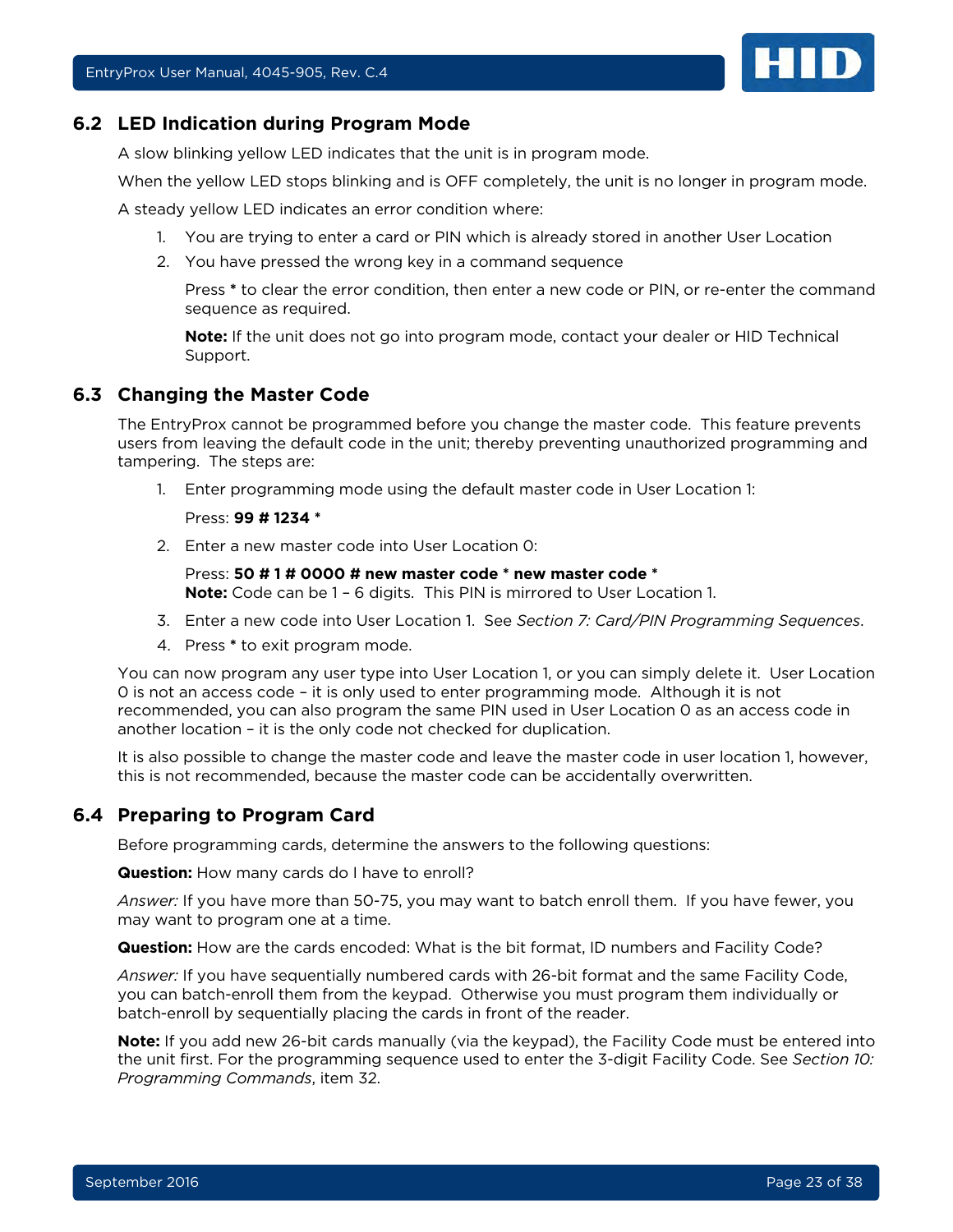

#### <span id="page-22-0"></span>**6.2 LED Indication during Program Mode**

A slow blinking yellow LED indicates that the unit is in program mode.

When the yellow LED stops blinking and is OFF completely, the unit is no longer in program mode.

A steady yellow LED indicates an error condition where:

- 1. You are trying to enter a card or PIN which is already stored in another User Location
- 2. You have pressed the wrong key in a command sequence

Press **\*** to clear the error condition, then enter a new code or PIN, or re-enter the command sequence as required.

**Note:** If the unit does not go into program mode, contact your dealer or HID Technical Support.

#### <span id="page-22-1"></span>**6.3 Changing the Master Code**

The EntryProx cannot be programmed before you change the master code. This feature prevents users from leaving the default code in the unit; thereby preventing unauthorized programming and tampering. The steps are:

1. Enter programming mode using the default master code in User Location 1:

#### Press: **99 # 1234 \***

2. Enter a new master code into User Location 0:

#### Press: **50 # 1 # 0000 # new master code \* new master code \***

**Note:** Code can be 1 – 6 digits. This PIN is mirrored to User Location 1.

- 3. Enter a new code into User Location 1. See *Section [7: Card/PIN Programming Sequences](#page-24-0)*.
- 4. Press **\*** to exit program mode.

You can now program any user type into User Location 1, or you can simply delete it. User Location 0 is not an access code – it is only used to enter programming mode. Although it is not recommended, you can also program the same PIN used in User Location 0 as an access code in another location – it is the only code not checked for duplication.

It is also possible to change the master code and leave the master code in user location 1, however, this is not recommended, because the master code can be accidentally overwritten.

#### <span id="page-22-2"></span>**6.4 Preparing to Program Card**

Before programming cards, determine the answers to the following questions:

**Question:** How many cards do I have to enroll?

*Answer:* If you have more than 50-75, you may want to batch enroll them. If you have fewer, you may want to program one at a time.

**Question:** How are the cards encoded: What is the bit format, ID numbers and Facility Code?

*Answer:* If you have sequentially numbered cards with 26-bit format and the same Facility Code, you can batch-enroll them from the keypad. Otherwise you must program them individually or batch-enroll by sequentially placing the cards in front of the reader.

**Note:** If you add new 26-bit cards manually (via the keypad), the Facility Code must be entered into the unit first. For the programming sequence used to enter the 3-digit Facility Code. See *Section [10:](#page-32-0) [Programming Commands](#page-32-0)*, item 32.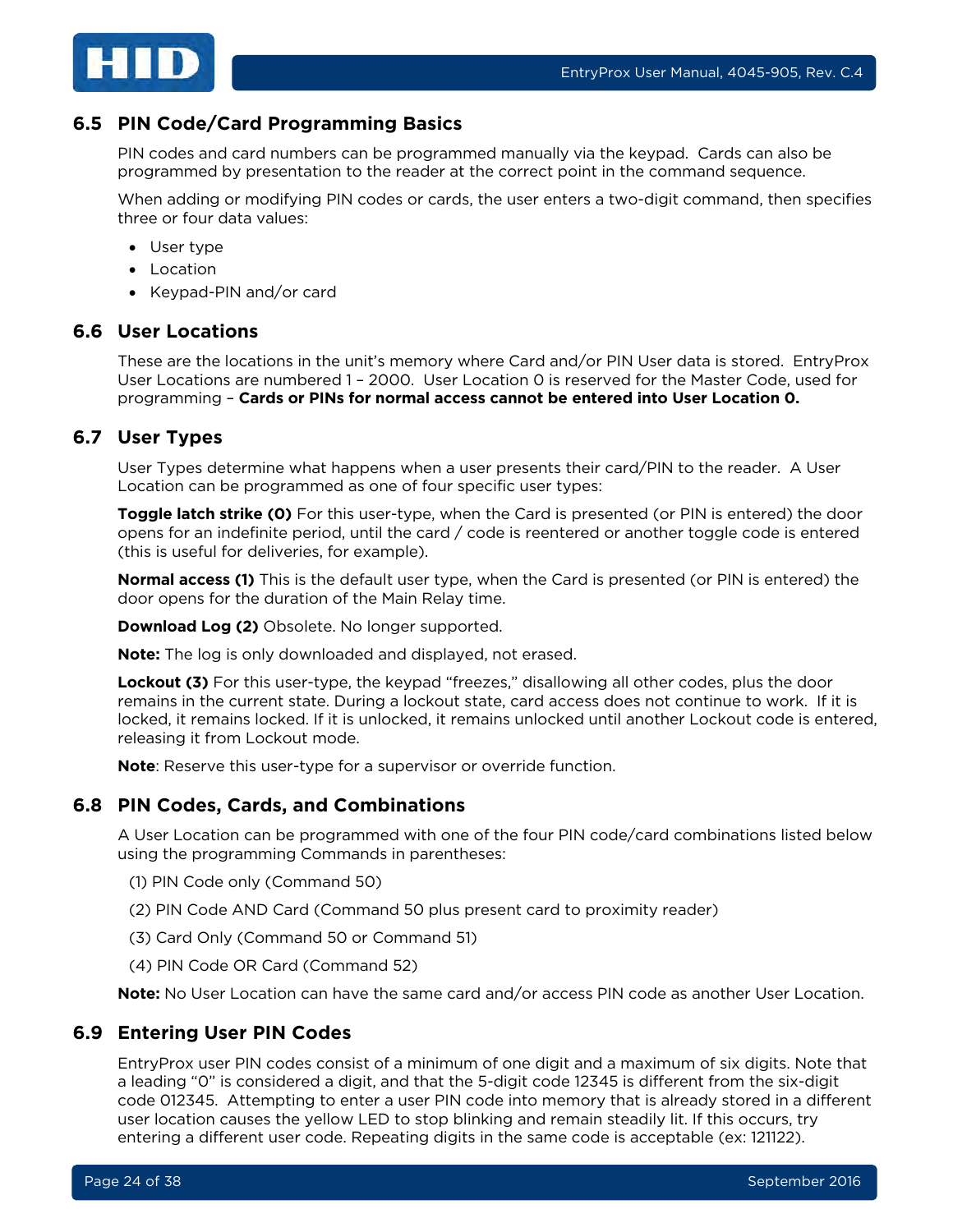

## <span id="page-23-0"></span>**6.5 PIN Code/Card Programming Basics**

PIN codes and card numbers can be programmed manually via the keypad. Cards can also be programmed by presentation to the reader at the correct point in the command sequence.

When adding or modifying PIN codes or cards, the user enters a two-digit command, then specifies three or four data values:

- User type
- Location
- Keypad-PIN and/or card

#### <span id="page-23-1"></span>**6.6 User Locations**

These are the locations in the unit's memory where Card and/or PIN User data is stored. EntryProx User Locations are numbered 1 – 2000. User Location 0 is reserved for the Master Code, used for programming – **Cards or PINs for normal access cannot be entered into User Location 0.**

## <span id="page-23-2"></span>**6.7 User Types**

User Types determine what happens when a user presents their card/PIN to the reader. A User Location can be programmed as one of four specific user types:

**Toggle latch strike (0)** For this user-type, when the Card is presented (or PIN is entered) the door opens for an indefinite period, until the card / code is reentered or another toggle code is entered (this is useful for deliveries, for example).

**Normal access (1)** This is the default user type, when the Card is presented (or PIN is entered) the door opens for the duration of the Main Relay time.

**Download Log (2)** Obsolete. No longer supported.

**Note:** The log is only downloaded and displayed, not erased.

**Lockout (3)** For this user-type, the keypad "freezes," disallowing all other codes, plus the door remains in the current state. During a lockout state, card access does not continue to work. If it is locked, it remains locked. If it is unlocked, it remains unlocked until another Lockout code is entered, releasing it from Lockout mode.

**Note**: Reserve this user-type for a supervisor or override function.

#### <span id="page-23-3"></span>**6.8 PIN Codes, Cards, and Combinations**

A User Location can be programmed with one of the four PIN code/card combinations listed below using the programming Commands in parentheses:

- (1) PIN Code only (Command 50)
- (2) PIN Code AND Card (Command 50 plus present card to proximity reader)
- (3) Card Only (Command 50 or Command 51)
- (4) PIN Code OR Card (Command 52)

**Note:** No User Location can have the same card and/or access PIN code as another User Location.

#### <span id="page-23-4"></span>**6.9 Entering User PIN Codes**

EntryProx user PIN codes consist of a minimum of one digit and a maximum of six digits. Note that a leading "0" is considered a digit, and that the 5-digit code 12345 is different from the six-digit code 012345. Attempting to enter a user PIN code into memory that is already stored in a different user location causes the yellow LED to stop blinking and remain steadily lit. If this occurs, try entering a different user code. Repeating digits in the same code is acceptable (ex: 121122).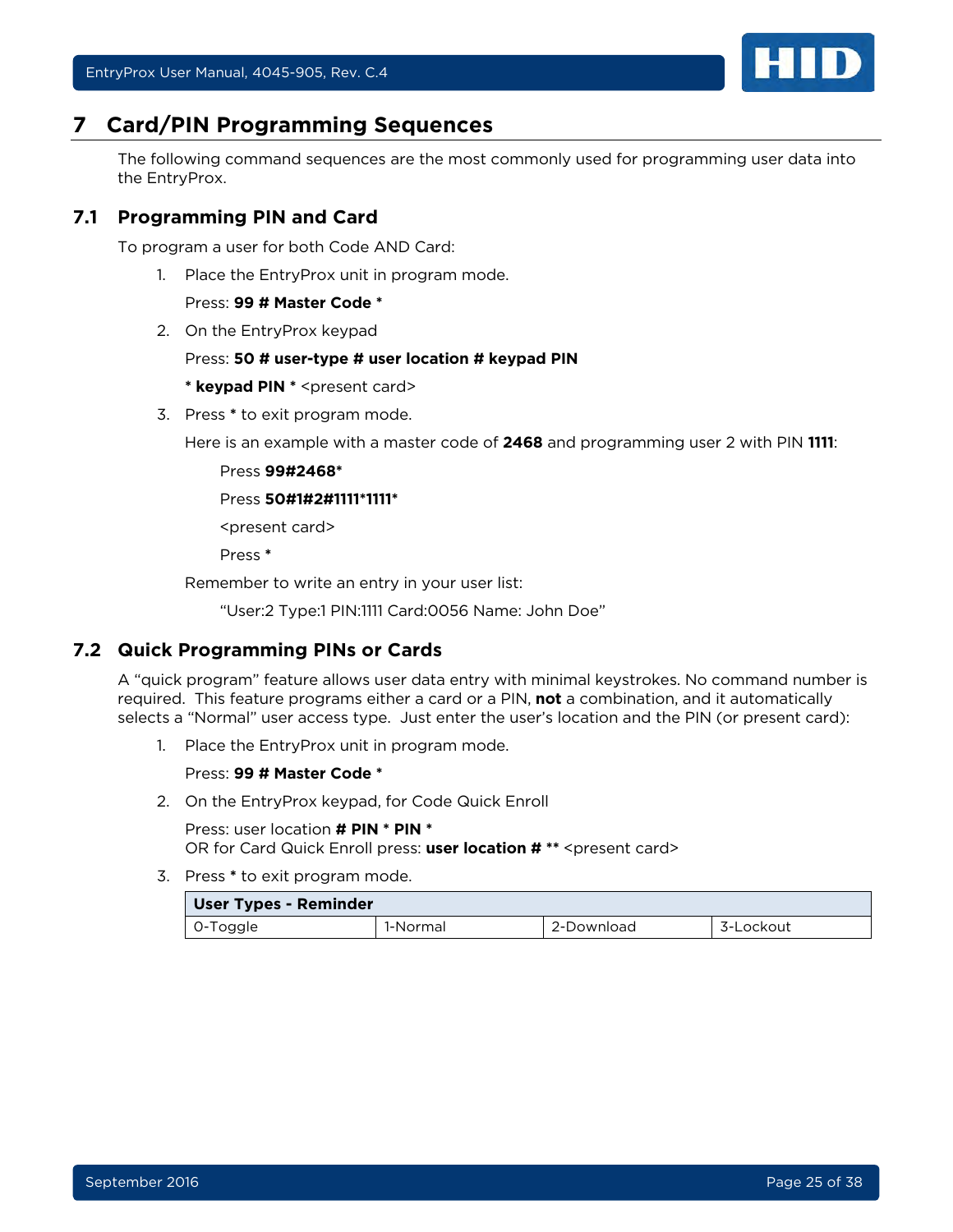

## <span id="page-24-0"></span>**7 Card/PIN Programming Sequences**

The following command sequences are the most commonly used for programming user data into the EntryProx.

## <span id="page-24-1"></span>**7.1 Programming PIN and Card**

To program a user for both Code AND Card:

1. Place the EntryProx unit in program mode.

#### Press: **99 # Master Code \***

2. On the EntryProx keypad

#### Press: **50 # user-type # user location # keypad PIN**

**\* keypad PIN \*** <present card>

3. Press **\*** to exit program mode.

Here is an example with a master code of **2468** and programming user 2 with PIN **1111**:

Press **99#2468\***

#### Press **50#1#2#1111\*1111\***

<present card>

Press **\***

Remember to write an entry in your user list:

"User:2 Type:1 PIN:1111 Card:0056 Name: John Doe"

## <span id="page-24-2"></span>**7.2 Quick Programming PINs or Cards**

A "quick program" feature allows user data entry with minimal keystrokes. No command number is required. This feature programs either a card or a PIN, **not** a combination, and it automatically selects a "Normal" user access type. Just enter the user's location and the PIN (or present card):

1. Place the EntryProx unit in program mode.

#### Press: **99 # Master Code \***

2. On the EntryProx keypad, for Code Quick Enroll

Press: user location **# PIN \* PIN \*** OR for Card Quick Enroll press: user location # \*\* < present card>

| <b>User Types - Reminder</b> |          |            |           |  |
|------------------------------|----------|------------|-----------|--|
| 0-Toggle                     | 1-Normal | 2-Download | 3-Lockout |  |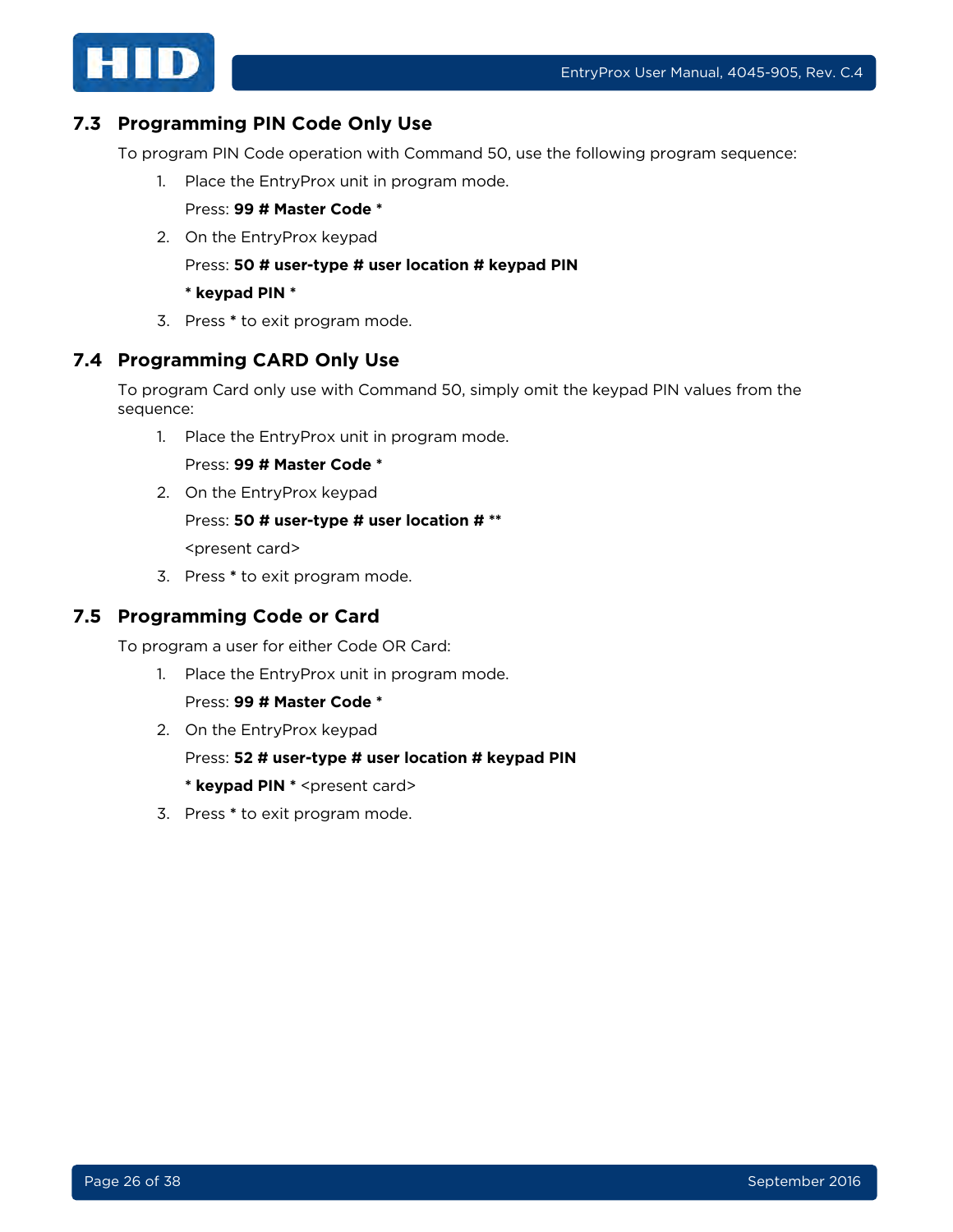

## <span id="page-25-0"></span>**7.3 Programming PIN Code Only Use**

To program PIN Code operation with Command 50, use the following program sequence:

1. Place the EntryProx unit in program mode.

Press: **99 # Master Code \***

2. On the EntryProx keypad

Press: **50 # user-type # user location # keypad PIN**

- **\* keypad PIN \***
- 3. Press **\*** to exit program mode.

#### <span id="page-25-1"></span>**7.4 Programming CARD Only Use**

To program Card only use with Command 50, simply omit the keypad PIN values from the sequence:

1. Place the EntryProx unit in program mode.

Press: **99 # Master Code \***

2. On the EntryProx keypad

#### Press: **50 # user-type # user location # \*\***

<present card>

3. Press **\*** to exit program mode.

#### <span id="page-25-2"></span>**7.5 Programming Code or Card**

To program a user for either Code OR Card:

1. Place the EntryProx unit in program mode.

Press: **99 # Master Code \***

2. On the EntryProx keypad

Press: **52 # user-type # user location # keypad PIN**

**\* keypad PIN \*** <present card>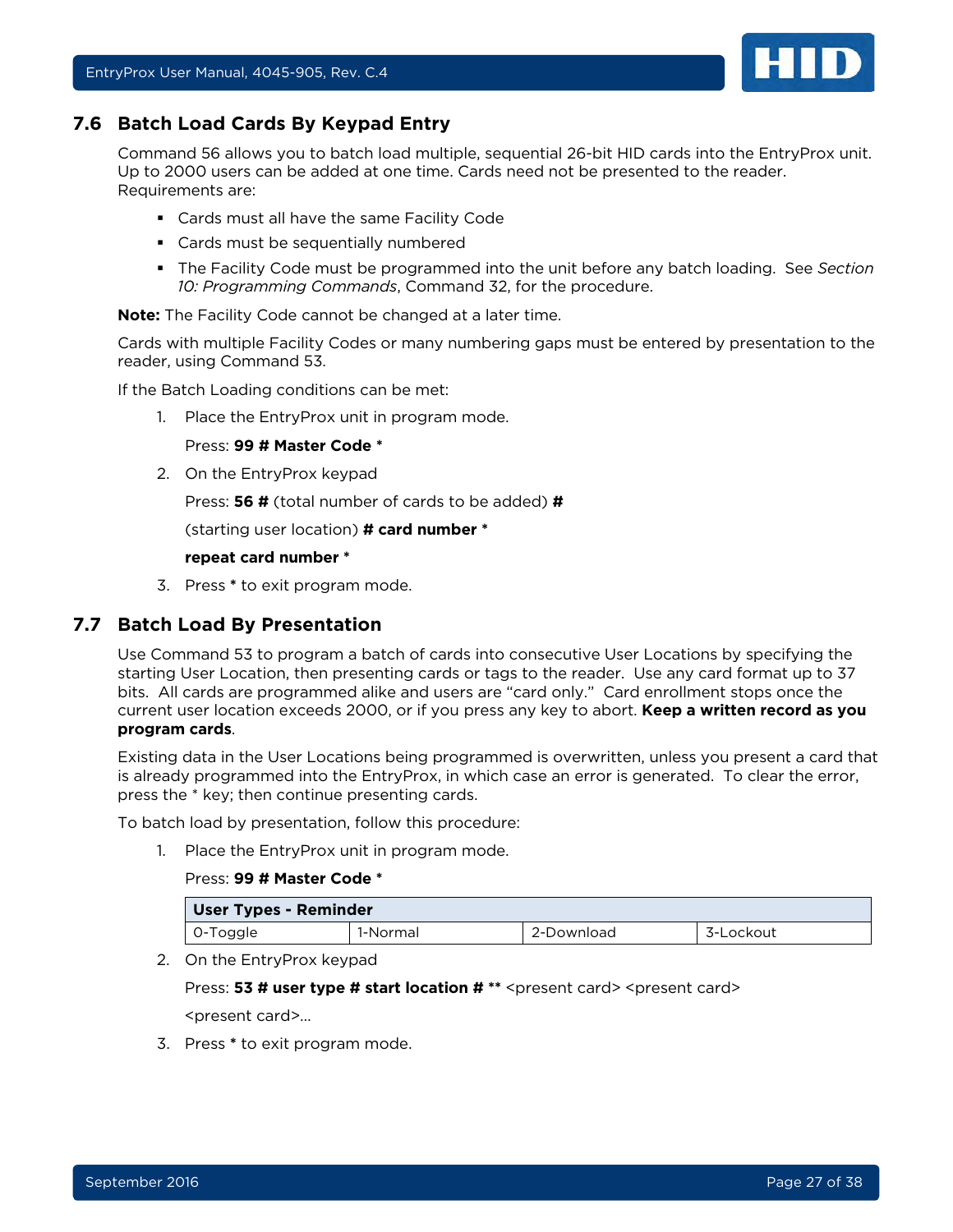<span id="page-26-0"></span>

Command 56 allows you to batch load multiple, sequential 26-bit HID cards into the EntryProx unit. Up to 2000 users can be added at one time. Cards need not be presented to the reader. Requirements are:

- Cards must all have the same Facility Code
- Cards must be sequentially numbered
- The Facility Code must be programmed into the unit before any batch loading. See *Section [10: Programming Commands](#page-32-0)*, Command 32, for the procedure.

**Note:** The Facility Code cannot be changed at a later time.

Cards with multiple Facility Codes or many numbering gaps must be entered by presentation to the reader, using Command 53.

If the Batch Loading conditions can be met:

1. Place the EntryProx unit in program mode.

Press: **99 # Master Code \*** 

2. On the EntryProx keypad

Press: **56 #** (total number of cards to be added) **#**

(starting user location) **# card number \***

#### **repeat card number \***

3. Press **\*** to exit program mode.

#### <span id="page-26-1"></span>**7.7 Batch Load By Presentation**

Use Command 53 to program a batch of cards into consecutive User Locations by specifying the starting User Location, then presenting cards or tags to the reader. Use any card format up to 37 bits. All cards are programmed alike and users are "card only." Card enrollment stops once the current user location exceeds 2000, or if you press any key to abort. **Keep a written record as you program cards**.

Existing data in the User Locations being programmed is overwritten, unless you present a card that is already programmed into the EntryProx, in which case an error is generated. To clear the error, press the \* key; then continue presenting cards.

To batch load by presentation, follow this procedure:

1. Place the EntryProx unit in program mode.

#### Press: **99 # Master Code \***

| <b>User Types - Reminder</b> |          |            |           |
|------------------------------|----------|------------|-----------|
| l 0-Toggle                   | 1-Normal | 2-Download | 3-Lockout |

2. On the EntryProx keypad

Press: **53 # user type # start location #** \*\* <present card> <present card>

<present card>…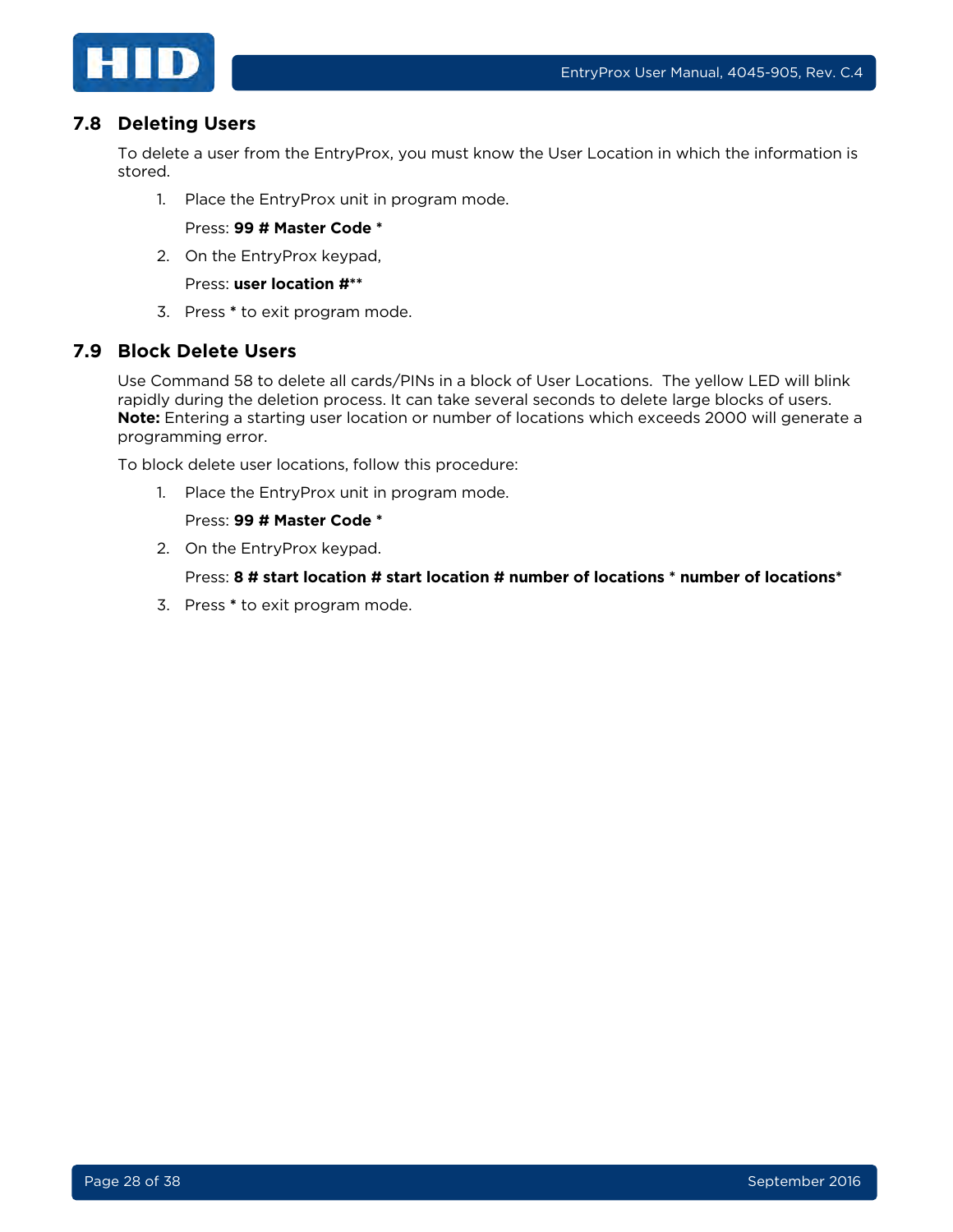

#### <span id="page-27-0"></span>**7.8 Deleting Users**

To delete a user from the EntryProx, you must know the User Location in which the information is stored.

1. Place the EntryProx unit in program mode.

Press: **99 # Master Code \***

2. On the EntryProx keypad,

Press: **user location #\*\***

3. Press **\*** to exit program mode.

#### <span id="page-27-1"></span>**7.9 Block Delete Users**

Use Command 58 to delete all cards/PINs in a block of User Locations. The yellow LED will blink rapidly during the deletion process. It can take several seconds to delete large blocks of users. **Note:** Entering a starting user location or number of locations which exceeds 2000 will generate a programming error.

To block delete user locations, follow this procedure:

1. Place the EntryProx unit in program mode.

#### Press: **99 # Master Code \***

2. On the EntryProx keypad.

Press: **8 # start location # start location # number of locations \* number of locations\***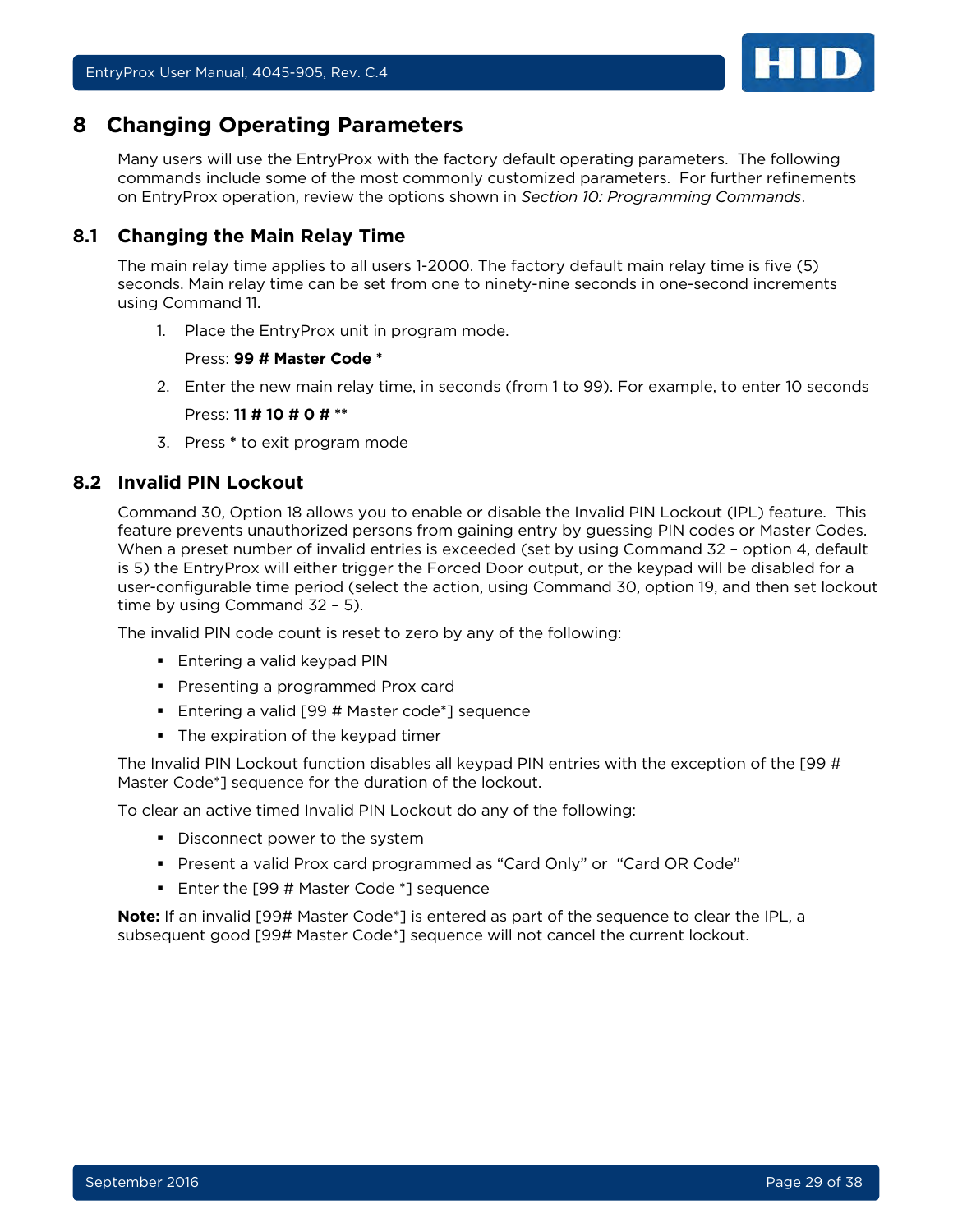

## <span id="page-28-0"></span>**8 Changing Operating Parameters**

Many users will use the EntryProx with the factory default operating parameters. The following commands include some of the most commonly customized parameters. For further refinements on EntryProx operation, review the options shown in *Section [10: Programming Commands](#page-32-0)*.

## <span id="page-28-1"></span>**8.1 Changing the Main Relay Time**

The main relay time applies to all users 1-2000. The factory default main relay time is five (5) seconds. Main relay time can be set from one to ninety-nine seconds in one-second increments using Command 11.

1. Place the EntryProx unit in program mode.

Press: **99 # Master Code \***

- 2. Enter the new main relay time, in seconds (from 1 to 99). For example, to enter 10 seconds Press: **11 # 10 # 0 # \*\***
- 3. Press **\*** to exit program mode

#### <span id="page-28-2"></span>**8.2 Invalid PIN Lockout**

Command 30, Option 18 allows you to enable or disable the Invalid PIN Lockout (IPL) feature. This feature prevents unauthorized persons from gaining entry by guessing PIN codes or Master Codes. When a preset number of invalid entries is exceeded (set by using Command 32 - option 4, default is 5) the EntryProx will either trigger the Forced Door output, or the keypad will be disabled for a user-configurable time period (select the action, using Command 30, option 19, and then set lockout time by using Command 32 – 5).

The invalid PIN code count is reset to zero by any of the following:

- **Entering a valid keypad PIN**
- **Presenting a programmed Prox card**
- **Entering a valid [99 # Master code\*] sequence**
- **The expiration of the keypad timer**

The Invalid PIN Lockout function disables all keypad PIN entries with the exception of the [99 # Master Code\*] sequence for the duration of the lockout.

To clear an active timed Invalid PIN Lockout do any of the following:

- Disconnect power to the system
- Present a valid Prox card programmed as "Card Only" or "Card OR Code"
- **Enter the [99 # Master Code \*] sequence**

**Note:** If an invalid [99# Master Code\*] is entered as part of the sequence to clear the IPL, a subsequent good [99# Master Code\*] sequence will not cancel the current lockout.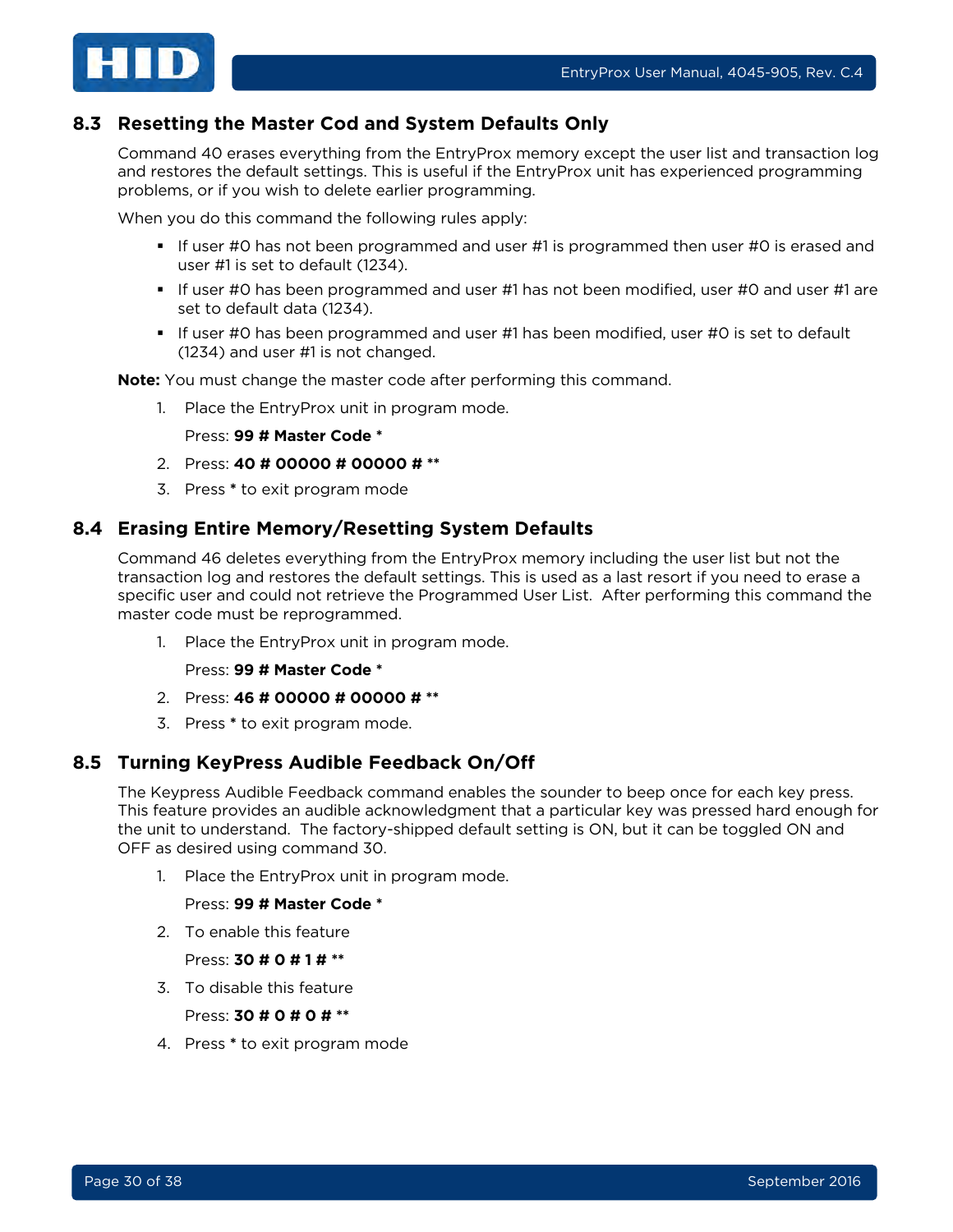

## <span id="page-29-0"></span>**8.3 Resetting the Master Cod and System Defaults Only**

Command 40 erases everything from the EntryProx memory except the user list and transaction log and restores the default settings. This is useful if the EntryProx unit has experienced programming problems, or if you wish to delete earlier programming.

When you do this command the following rules apply:

- If user #0 has not been programmed and user #1 is programmed then user #0 is erased and user #1 is set to default (1234).
- If user #0 has been programmed and user #1 has not been modified, user #0 and user #1 are set to default data (1234).
- If user #0 has been programmed and user #1 has been modified, user #0 is set to default (1234) and user #1 is not changed.

**Note:** You must change the master code after performing this command.

1. Place the EntryProx unit in program mode.

Press: **99 # Master Code \*** 

- 2. Press: **40 # 00000 # 00000 # \*\***
- 3. Press **\*** to exit program mode

#### <span id="page-29-1"></span>**8.4 Erasing Entire Memory/Resetting System Defaults**

Command 46 deletes everything from the EntryProx memory including the user list but not the transaction log and restores the default settings. This is used as a last resort if you need to erase a specific user and could not retrieve the Programmed User List. After performing this command the master code must be reprogrammed.

1. Place the EntryProx unit in program mode.

Press: **99 # Master Code \***

- 2. Press: **46 # 00000 # 00000 # \*\***
- 3. Press **\*** to exit program mode.

#### <span id="page-29-2"></span>**8.5 Turning KeyPress Audible Feedback On/Off**

The Keypress Audible Feedback command enables the sounder to beep once for each key press. This feature provides an audible acknowledgment that a particular key was pressed hard enough for the unit to understand. The factory-shipped default setting is ON, but it can be toggled ON and OFF as desired using command 30.

1. Place the EntryProx unit in program mode.

#### Press: **99 # Master Code \***

2. To enable this feature

Press: **30 # 0 # 1 # \*\***

3. To disable this feature

Press: **30 # 0 # 0 # \*\***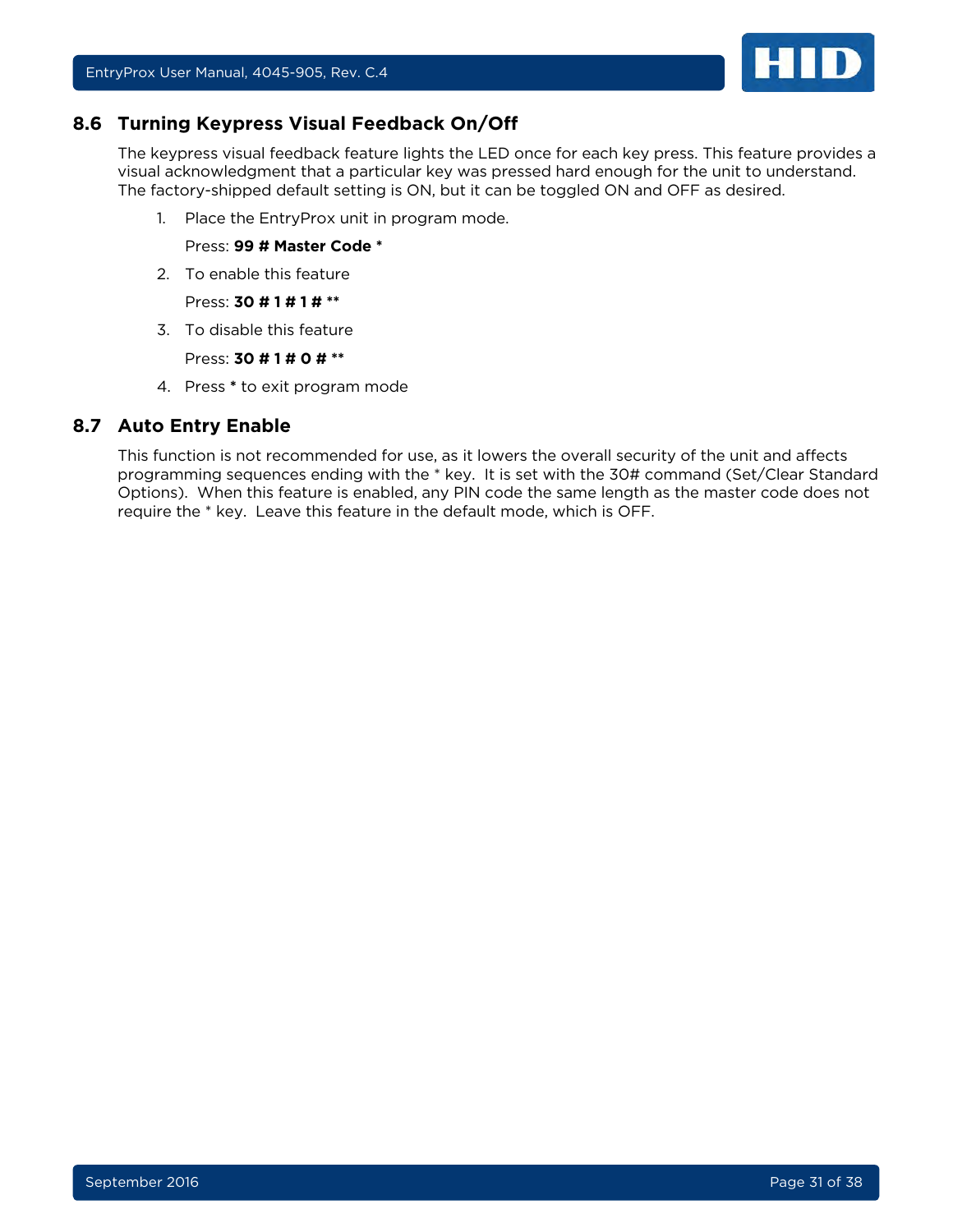

#### <span id="page-30-0"></span>**8.6 Turning Keypress Visual Feedback On/Off**

The keypress visual feedback feature lights the LED once for each key press. This feature provides a visual acknowledgment that a particular key was pressed hard enough for the unit to understand. The factory-shipped default setting is ON, but it can be toggled ON and OFF as desired.

1. Place the EntryProx unit in program mode.

Press: **99 # Master Code \***

2. To enable this feature

Press: **30 # 1 # 1 # \*\***

3. To disable this feature

Press: **30 # 1 # 0 # \*\***

4. Press **\*** to exit program mode

#### <span id="page-30-1"></span>**8.7 Auto Entry Enable**

This function is not recommended for use, as it lowers the overall security of the unit and affects programming sequences ending with the \* key. It is set with the 30# command (Set/Clear Standard Options). When this feature is enabled, any PIN code the same length as the master code does not require the \* key. Leave this feature in the default mode, which is OFF.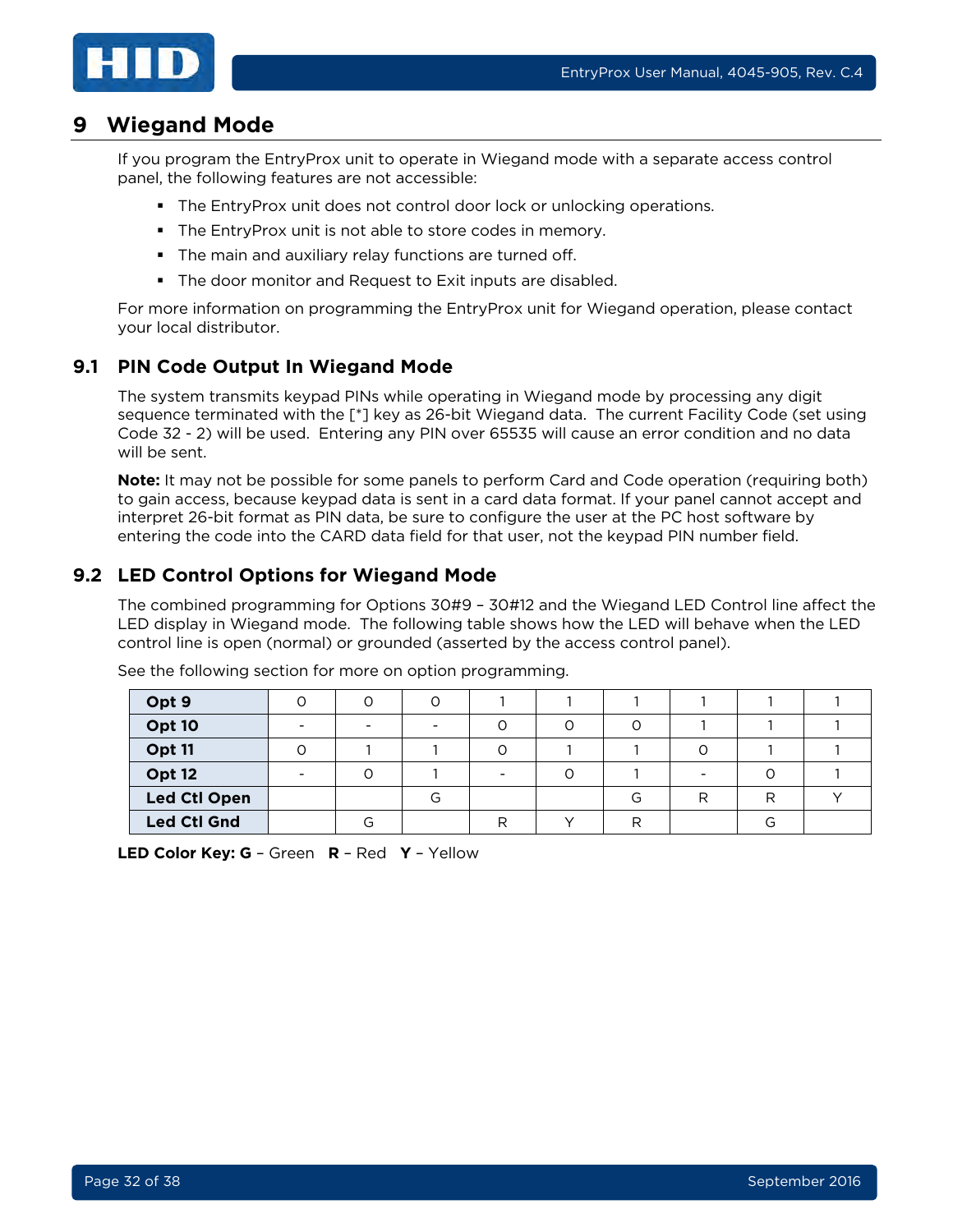

## <span id="page-31-0"></span>**9 Wiegand Mode**

If you program the EntryProx unit to operate in Wiegand mode with a separate access control panel, the following features are not accessible:

- **The EntryProx unit does not control door lock or unlocking operations.**
- The EntryProx unit is not able to store codes in memory.
- **The main and auxiliary relay functions are turned off.**
- **The door monitor and Request to Exit inputs are disabled.**

For more information on programming the EntryProx unit for Wiegand operation, please contact your local distributor.

## <span id="page-31-1"></span>**9.1 PIN Code Output In Wiegand Mode**

The system transmits keypad PINs while operating in Wiegand mode by processing any digit sequence terminated with the [\*] key as 26-bit Wiegand data. The current Facility Code (set using Code 32 - 2) will be used. Entering any PIN over 65535 will cause an error condition and no data will be sent.

**Note:** It may not be possible for some panels to perform Card and Code operation (requiring both) to gain access, because keypad data is sent in a card data format. If your panel cannot accept and interpret 26-bit format as PIN data, be sure to configure the user at the PC host software by entering the code into the CARD data field for that user, not the keypad PIN number field.

## <span id="page-31-2"></span>**9.2 LED Control Options for Wiegand Mode**

The combined programming for Options 30#9 – 30#12 and the Wiegand LED Control line affect the LED display in Wiegand mode. The following table shows how the LED will behave when the LED control line is open (normal) or grounded (asserted by the access control panel).

| Opt 9               |                          | Ω |   |    |   |   |  |
|---------------------|--------------------------|---|---|----|---|---|--|
| Opt 10              | $\overline{\phantom{0}}$ | - | ⌒ |    |   |   |  |
| Opt 11              |                          |   |   |    |   |   |  |
| Opt 12              |                          |   |   |    |   |   |  |
| <b>Led Ctl Open</b> |                          | G |   | G  | R | □ |  |
| <b>Led Ctl Gnd</b>  | G                        |   |   | רו |   |   |  |

See the following section for more on option programming.

**LED Color Key: G** – Green **R** – Red **Y** – Yellow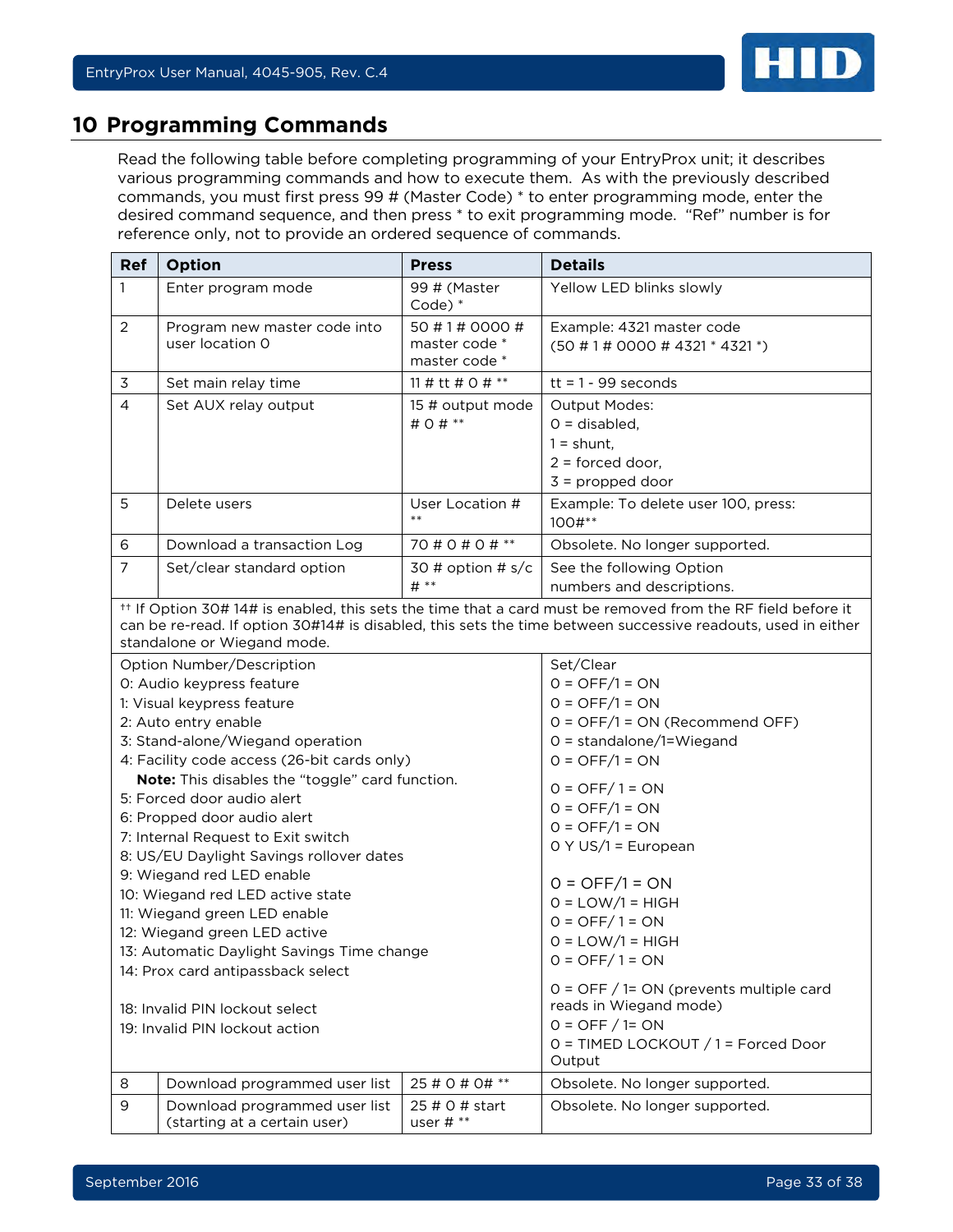

## <span id="page-32-0"></span>**10 Programming Commands**

Read the following table before completing programming of your EntryProx unit; it describes various programming commands and how to execute them. As with the previously described commands, you must first press 99 # (Master Code) \* to enter programming mode, enter the desired command sequence, and then press \* to exit programming mode. "Ref" number is for reference only, not to provide an ordered sequence of commands.

| <b>Ref</b>                                                                                            | Option                                                                                               | <b>Press</b>                  | <b>Details</b>                                                                                                                                                                                                                         |  |  |
|-------------------------------------------------------------------------------------------------------|------------------------------------------------------------------------------------------------------|-------------------------------|----------------------------------------------------------------------------------------------------------------------------------------------------------------------------------------------------------------------------------------|--|--|
| $\mathbf{1}$                                                                                          | Enter program mode                                                                                   | 99 # (Master<br>$Code)$ $*$   | Yellow LED blinks slowly                                                                                                                                                                                                               |  |  |
| $\overline{2}$                                                                                        | 50 # 1 # 0000 #<br>Program new master code into<br>user location 0<br>master code *<br>master code * |                               | Example: 4321 master code<br>$(50 \# 1 \# 0000 \# 4321 * 4321)^{3}$                                                                                                                                                                    |  |  |
| 3                                                                                                     | Set main relay time                                                                                  | 11 # tt # $0$ # **            | $tt = 1 - 99$ seconds                                                                                                                                                                                                                  |  |  |
| $\overline{4}$                                                                                        | Set AUX relay output                                                                                 | 15 # output mode<br># 0 # **  | <b>Output Modes:</b><br>$0 =$ disabled,<br>$1 =$ shunt,<br>$2 =$ forced door,<br>$3$ = propped door                                                                                                                                    |  |  |
| 5                                                                                                     | Delete users                                                                                         | User Location #<br>$***$      | Example: To delete user 100, press:<br>100#**                                                                                                                                                                                          |  |  |
| 6                                                                                                     | Download a transaction Log                                                                           | 70 # 0 # 0 # **               | Obsolete. No longer supported.                                                                                                                                                                                                         |  |  |
| $\overline{7}$                                                                                        | Set/clear standard option                                                                            | 30 # option # $s/c$<br>$#$ ** | See the following Option<br>numbers and descriptions.                                                                                                                                                                                  |  |  |
|                                                                                                       | standalone or Wiegand mode.                                                                          |                               | <sup>++</sup> If Option 30# 14# is enabled, this sets the time that a card must be removed from the RF field before it<br>can be re-read. If option 30#14# is disabled, this sets the time between successive readouts, used in either |  |  |
|                                                                                                       | Option Number/Description                                                                            |                               | Set/Clear                                                                                                                                                                                                                              |  |  |
|                                                                                                       | 0: Audio keypress feature                                                                            |                               | $0 = OFF/1 = ON$                                                                                                                                                                                                                       |  |  |
|                                                                                                       | 1: Visual keypress feature                                                                           |                               | $0 = OFF/1 = ON$                                                                                                                                                                                                                       |  |  |
|                                                                                                       | 2: Auto entry enable                                                                                 |                               | 0 = OFF/1 = ON (Recommend OFF)                                                                                                                                                                                                         |  |  |
|                                                                                                       | 3: Stand-alone/Wiegand operation<br>4: Facility code access (26-bit cards only)                      |                               | $O =$ standalone/1=Wiegand<br>$0 = OFF/1 = ON$                                                                                                                                                                                         |  |  |
|                                                                                                       | Note: This disables the "toggle" card function.                                                      |                               |                                                                                                                                                                                                                                        |  |  |
|                                                                                                       | 5: Forced door audio alert                                                                           |                               | $0 = OFF / 1 = ON$                                                                                                                                                                                                                     |  |  |
|                                                                                                       | 6: Propped door audio alert                                                                          |                               | $0 = OFF/1 = ON$                                                                                                                                                                                                                       |  |  |
|                                                                                                       | 7: Internal Request to Exit switch                                                                   |                               | $0 = OFF/1 = ON$                                                                                                                                                                                                                       |  |  |
|                                                                                                       | 8: US/EU Daylight Savings rollover dates                                                             |                               | $O Y US/1 = European$                                                                                                                                                                                                                  |  |  |
|                                                                                                       | 9: Wiegand red LED enable                                                                            |                               |                                                                                                                                                                                                                                        |  |  |
|                                                                                                       | 10: Wiegand red LED active state                                                                     |                               | $0 = OFF/1 = ON$                                                                                                                                                                                                                       |  |  |
|                                                                                                       | 11: Wiegand green LED enable                                                                         |                               | $O = LOW/1 = HIGH$<br>$0 = OFF / 1 = ON$                                                                                                                                                                                               |  |  |
|                                                                                                       | 12: Wiegand green LED active                                                                         |                               | $O = LOW/1 = HIGH$                                                                                                                                                                                                                     |  |  |
|                                                                                                       | 13: Automatic Daylight Savings Time change                                                           |                               | $0 =$ OFF/1 = ON                                                                                                                                                                                                                       |  |  |
| 14: Prox card antipassback select<br>18: Invalid PIN lockout select<br>19: Invalid PIN lockout action |                                                                                                      |                               | $0 =$ OFF $/$ 1= ON (prevents multiple card<br>reads in Wiegand mode)<br>$0 =$ OFF $/$ 1= ON<br>0 = TIMED LOCKOUT / 1 = Forced Door<br>Output                                                                                          |  |  |
| 8                                                                                                     | Download programmed user list                                                                        | 25 # 0 # 0# **                | Obsolete. No longer supported.                                                                                                                                                                                                         |  |  |
| 9                                                                                                     | Download programmed user list<br>25 # 0 # start<br>(starting at a certain user)<br>user $\#$ **      |                               | Obsolete. No longer supported.                                                                                                                                                                                                         |  |  |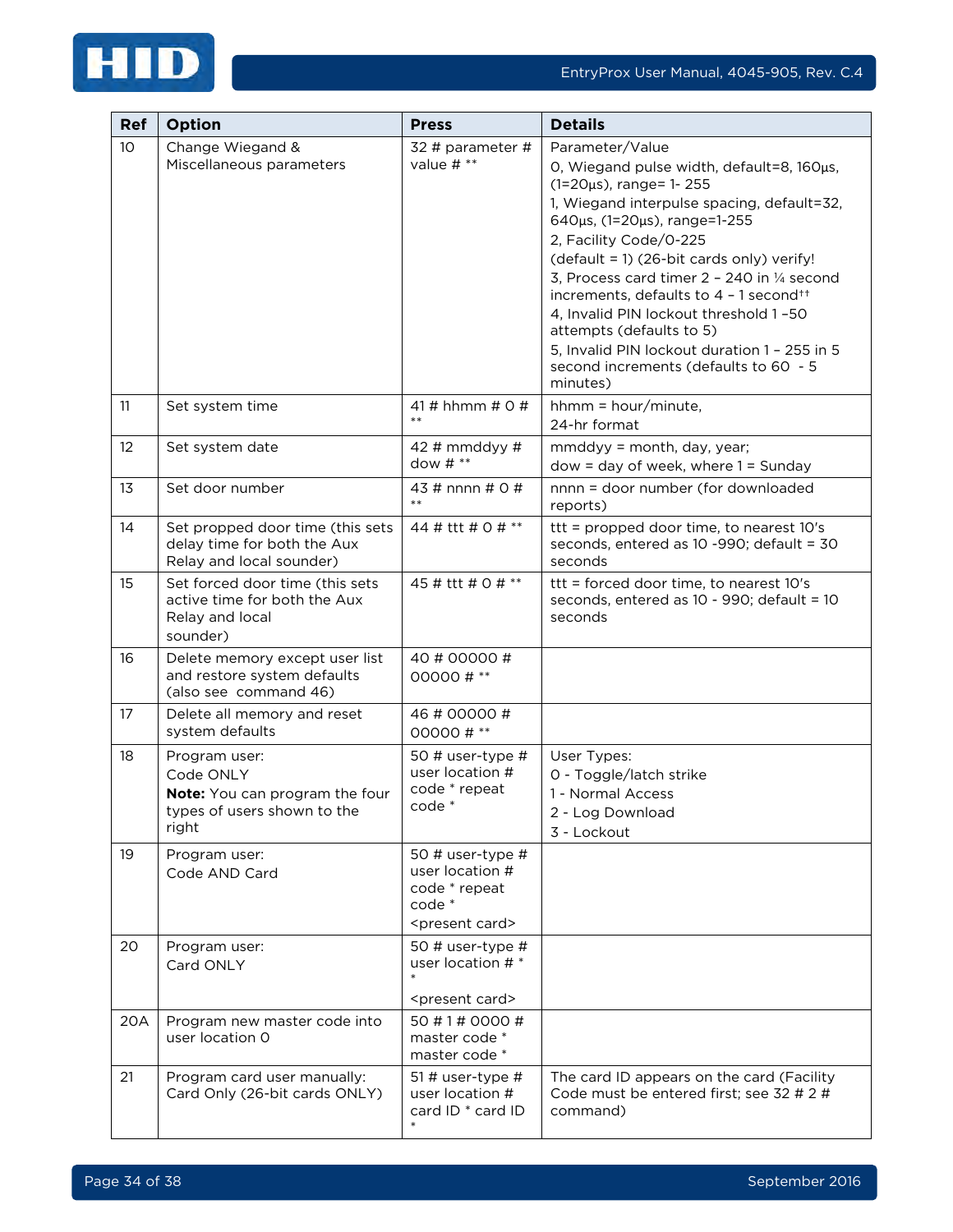

| Ref | Option                                                                                               | <b>Press</b>                                                                                  | <b>Details</b>                                                                                                                                                                                                                                                                                                                                                                                                                                                                                                             |
|-----|------------------------------------------------------------------------------------------------------|-----------------------------------------------------------------------------------------------|----------------------------------------------------------------------------------------------------------------------------------------------------------------------------------------------------------------------------------------------------------------------------------------------------------------------------------------------------------------------------------------------------------------------------------------------------------------------------------------------------------------------------|
| 10  | Change Wiegand &<br>Miscellaneous parameters                                                         | 32 # parameter #<br>value # **                                                                | Parameter/Value<br>O, Wiegand pulse width, default=8, 160µs,<br>(1=20µs), range= 1-255<br>1, Wiegand interpulse spacing, default=32,<br>640µs, (1=20µs), range=1-255<br>2, Facility Code/0-225<br>(default = 1) (26-bit cards only) verify!<br>3, Process card timer 2 - 240 in 1/4 second<br>increments, defaults to 4 - 1 second <sup>++</sup><br>4, Invalid PIN lockout threshold 1-50<br>attempts (defaults to 5)<br>5, Invalid PIN lockout duration 1 - 255 in 5<br>second increments (defaults to 60 - 5<br>minutes) |
| 11  | Set system time                                                                                      | 41 # hhmm # $0$ #<br>$***$                                                                    | $h_{mm}$ = $hour/minute$ ,<br>24-hr format                                                                                                                                                                                                                                                                                                                                                                                                                                                                                 |
| 12  | Set system date                                                                                      | 42 # mmddyy #<br>dow $\#$ **                                                                  | mmddyy = month, day, year;<br>$dow = day of week, where 1 = Sunday$                                                                                                                                                                                                                                                                                                                                                                                                                                                        |
| 13  | Set door number                                                                                      | 43 # nnnn # 0 #<br>$***$                                                                      | nnnn = door number (for downloaded<br>reports)                                                                                                                                                                                                                                                                                                                                                                                                                                                                             |
| 14  | Set propped door time (this sets<br>delay time for both the Aux<br>Relay and local sounder)          | 44 # ttt # 0 # **                                                                             | ttt = propped door time, to nearest 10's<br>seconds, entered as 10 -990; default = 30<br>seconds                                                                                                                                                                                                                                                                                                                                                                                                                           |
| 15  | Set forced door time (this sets<br>active time for both the Aux<br>Relay and local<br>sounder)       | 45 # ttt # 0 # **                                                                             | ttt = forced door time, to nearest 10's<br>seconds, entered as 10 - 990; default = 10<br>seconds                                                                                                                                                                                                                                                                                                                                                                                                                           |
| 16  | Delete memory except user list<br>and restore system defaults<br>(also see command 46)               | 40 # 00000 #<br>00000#**                                                                      |                                                                                                                                                                                                                                                                                                                                                                                                                                                                                                                            |
| 17  | Delete all memory and reset<br>system defaults                                                       | 46 # 00000 #<br>00000#**                                                                      |                                                                                                                                                                                                                                                                                                                                                                                                                                                                                                                            |
| 18  | Program user:<br>Code ONLY<br>Note: You can program the four<br>types of users shown to the<br>right | 50 # user-type $#$<br>user location #<br>code * repeat<br>code *                              | User Types:<br>0 - Toggle/latch strike<br>1 - Normal Access<br>2 - Log Download<br>3 - Lockout                                                                                                                                                                                                                                                                                                                                                                                                                             |
| 19  | Program user:<br>Code AND Card                                                                       | 50 # user-type #<br>user location #<br>code * repeat<br>code *<br><present card=""></present> |                                                                                                                                                                                                                                                                                                                                                                                                                                                                                                                            |
| 20  | Program user:<br>Card ONLY                                                                           | 50 # user-type #<br>user location # *<br><present card=""></present>                          |                                                                                                                                                                                                                                                                                                                                                                                                                                                                                                                            |
| 20A | Program new master code into<br>user location 0                                                      | 50 # 1 # 0000 #<br>master code *<br>master code *                                             |                                                                                                                                                                                                                                                                                                                                                                                                                                                                                                                            |
| 21  | Program card user manually:<br>Card Only (26-bit cards ONLY)                                         | 51 # user-type $#$<br>user location #<br>card ID * card ID                                    | The card ID appears on the card (Facility<br>Code must be entered first; see 32 # 2 #<br>command)                                                                                                                                                                                                                                                                                                                                                                                                                          |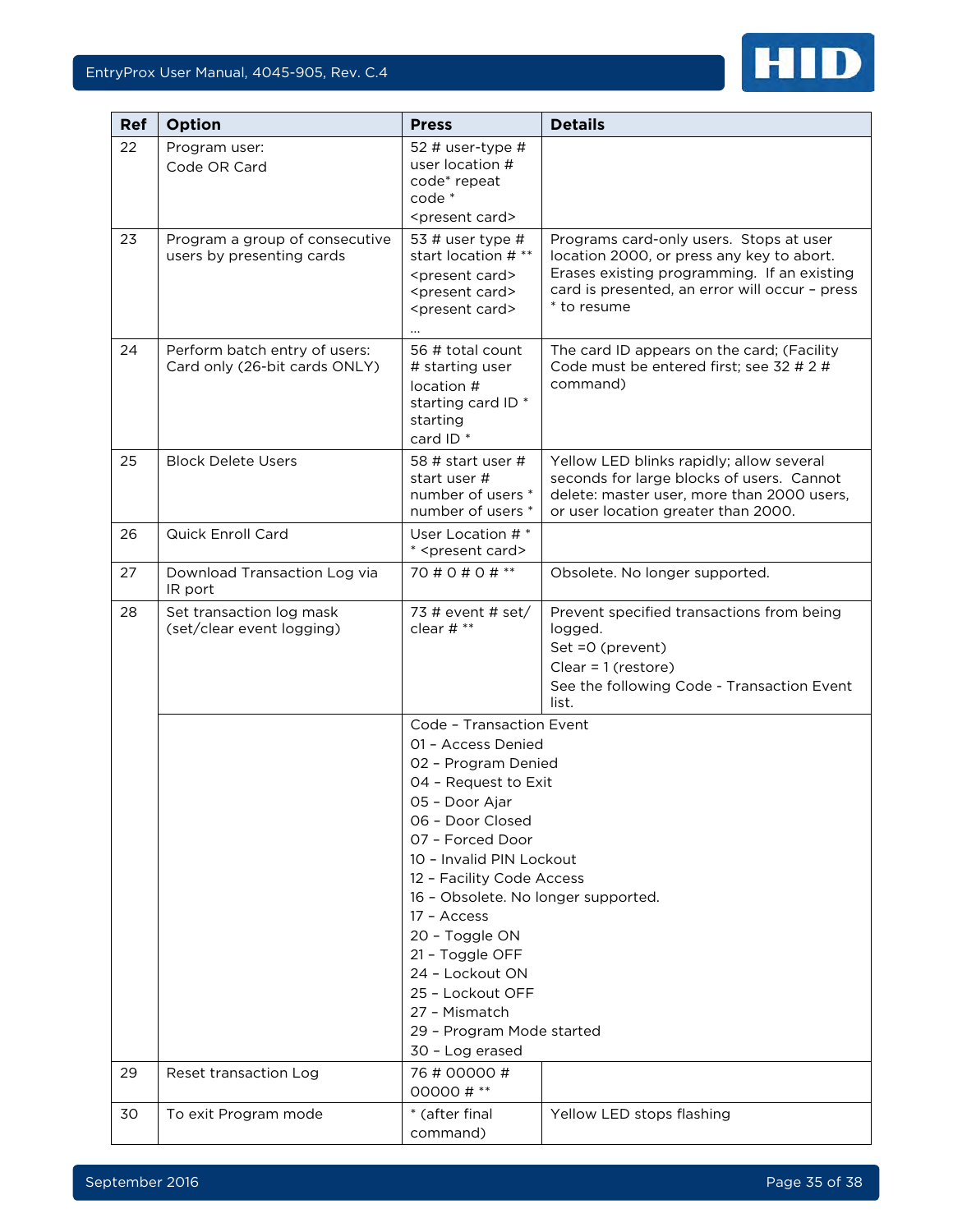## EntryProx User Manual, 4045-905, Rev. C.4



| Ref | <b>Option</b>                                                  | <b>Press</b>                                                                                                                                                                                                                                                                                                                                                                                                        | <b>Details</b>                                                                                                                                                                                       |  |  |
|-----|----------------------------------------------------------------|---------------------------------------------------------------------------------------------------------------------------------------------------------------------------------------------------------------------------------------------------------------------------------------------------------------------------------------------------------------------------------------------------------------------|------------------------------------------------------------------------------------------------------------------------------------------------------------------------------------------------------|--|--|
| 22  | Program user:<br>Code OR Card                                  | 52 # user-type $#$<br>user location #<br>code* repeat<br>code *<br><present card=""></present>                                                                                                                                                                                                                                                                                                                      |                                                                                                                                                                                                      |  |  |
| 23  | Program a group of consecutive<br>users by presenting cards    | 53 # user type $#$<br>start location # **<br><present card=""><br/><present card=""><br/><present card=""></present></present></present>                                                                                                                                                                                                                                                                            | Programs card-only users. Stops at user<br>location 2000, or press any key to abort.<br>Erases existing programming. If an existing<br>card is presented, an error will occur - press<br>* to resume |  |  |
| 24  | Perform batch entry of users:<br>Card only (26-bit cards ONLY) | 56 # total count<br># starting user<br>location #<br>starting card ID <sup>*</sup><br>starting<br>card ID <sup>*</sup>                                                                                                                                                                                                                                                                                              | The card ID appears on the card; (Facility<br>Code must be entered first; see 32 # 2 #<br>command)                                                                                                   |  |  |
| 25  | <b>Block Delete Users</b>                                      | 58 # start user #<br>start user #<br>number of users *<br>number of users *                                                                                                                                                                                                                                                                                                                                         | Yellow LED blinks rapidly; allow several<br>seconds for large blocks of users. Cannot<br>delete: master user, more than 2000 users,<br>or user location greater than 2000.                           |  |  |
| 26  | <b>Quick Enroll Card</b>                                       | User Location #*<br>* <present card=""></present>                                                                                                                                                                                                                                                                                                                                                                   |                                                                                                                                                                                                      |  |  |
| 27  | Download Transaction Log via<br>IR port                        | 70 # 0 # 0 # $**$                                                                                                                                                                                                                                                                                                                                                                                                   | Obsolete. No longer supported.                                                                                                                                                                       |  |  |
| 28  | Set transaction log mask<br>(set/clear event logging)          | 73 # event # set/<br>clear # **                                                                                                                                                                                                                                                                                                                                                                                     | Prevent specified transactions from being<br>logged.<br>Set =0 (prevent)<br>Clear = $1$ (restore)<br>See the following Code - Transaction Event<br>list.                                             |  |  |
|     |                                                                | Code - Transaction Event<br>01 - Access Denied<br>02 - Program Denied<br>04 - Request to Exit<br>05 - Door Ajar<br>06 - Door Closed<br>07 - Forced Door<br>10 - Invalid PIN Lockout<br>12 - Facility Code Access<br>16 - Obsolete. No longer supported.<br>17 - Access<br>20 - Toggle ON<br>21 - Toggle OFF<br>24 - Lockout ON<br>25 - Lockout OFF<br>27 - Mismatch<br>29 - Program Mode started<br>30 - Log erased |                                                                                                                                                                                                      |  |  |
| 29  | Reset transaction Log                                          | 76 # 00000 #<br>00000#**                                                                                                                                                                                                                                                                                                                                                                                            |                                                                                                                                                                                                      |  |  |
| 30  | To exit Program mode                                           | * (after final<br>command)                                                                                                                                                                                                                                                                                                                                                                                          | Yellow LED stops flashing                                                                                                                                                                            |  |  |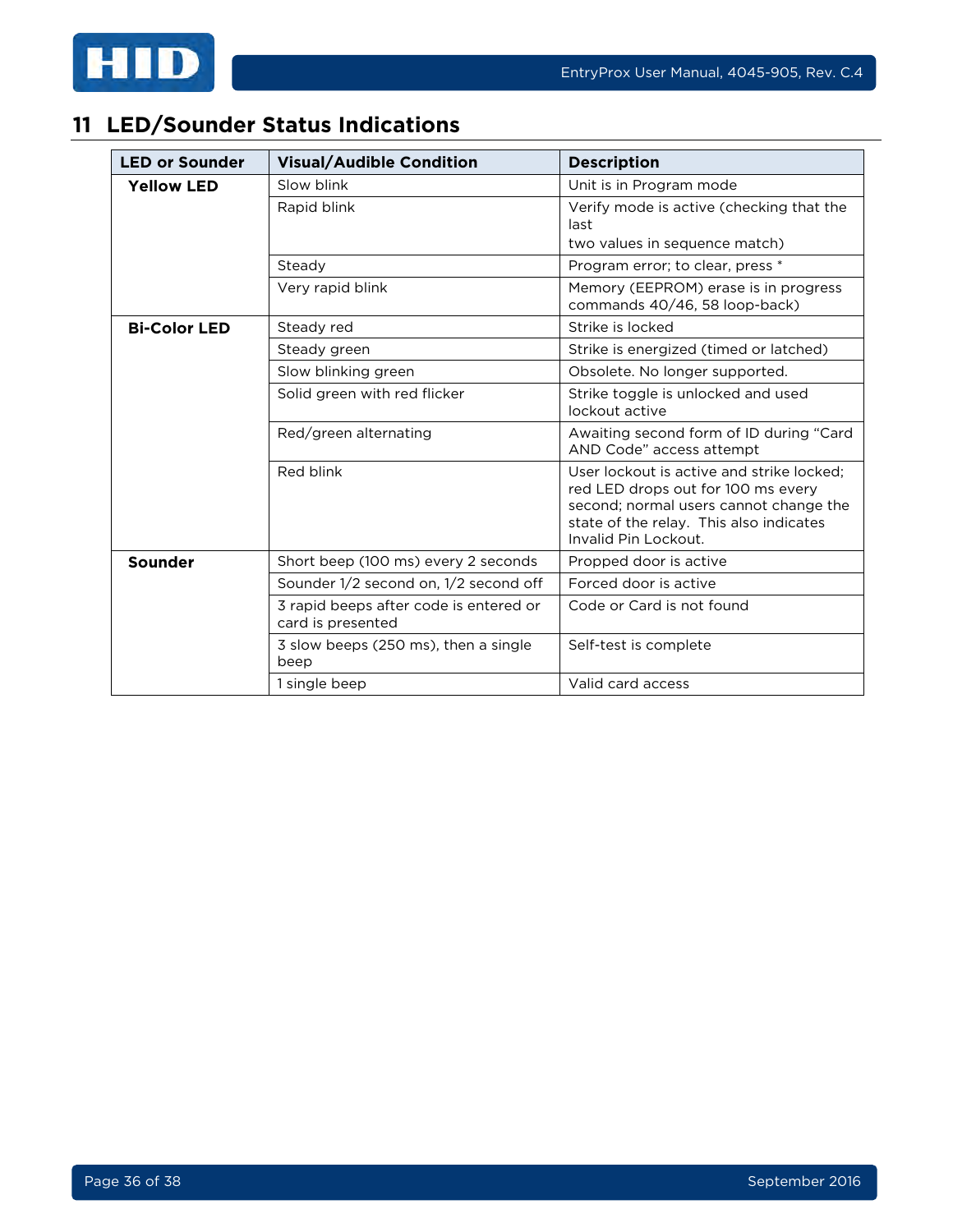



# <span id="page-35-0"></span>**11 LED/Sounder Status Indications**

| <b>LED or Sounder</b> | <b>Visual/Audible Condition</b>                             | <b>Description</b>                                                                                                                                                                           |  |  |
|-----------------------|-------------------------------------------------------------|----------------------------------------------------------------------------------------------------------------------------------------------------------------------------------------------|--|--|
| <b>Yellow LED</b>     | Slow blink                                                  | Unit is in Program mode                                                                                                                                                                      |  |  |
|                       | Rapid blink                                                 | Verify mode is active (checking that the<br>last<br>two values in sequence match)                                                                                                            |  |  |
|                       | Steady                                                      | Program error; to clear, press *                                                                                                                                                             |  |  |
|                       | Very rapid blink                                            | Memory (EEPROM) erase is in progress<br>commands 40/46, 58 loop-back)                                                                                                                        |  |  |
| <b>Bi-Color LED</b>   | Steady red                                                  | Strike is locked                                                                                                                                                                             |  |  |
|                       | Steady green                                                | Strike is energized (timed or latched)                                                                                                                                                       |  |  |
|                       | Slow blinking green                                         | Obsolete. No longer supported.                                                                                                                                                               |  |  |
|                       | Solid green with red flicker                                | Strike toggle is unlocked and used<br>lockout active                                                                                                                                         |  |  |
|                       | Red/green alternating                                       | Awaiting second form of ID during "Card<br>AND Code" access attempt                                                                                                                          |  |  |
|                       | Red blink                                                   | User lockout is active and strike locked:<br>red LED drops out for 100 ms every<br>second; normal users cannot change the<br>state of the relay. This also indicates<br>Invalid Pin Lockout. |  |  |
| <b>Sounder</b>        | Short beep (100 ms) every 2 seconds                         | Propped door is active                                                                                                                                                                       |  |  |
|                       | Sounder 1/2 second on, 1/2 second off                       | Forced door is active                                                                                                                                                                        |  |  |
|                       | 3 rapid beeps after code is entered or<br>card is presented | Code or Card is not found                                                                                                                                                                    |  |  |
|                       | 3 slow beeps (250 ms), then a single<br>beep                | Self-test is complete                                                                                                                                                                        |  |  |
|                       | 1 single beep                                               | Valid card access                                                                                                                                                                            |  |  |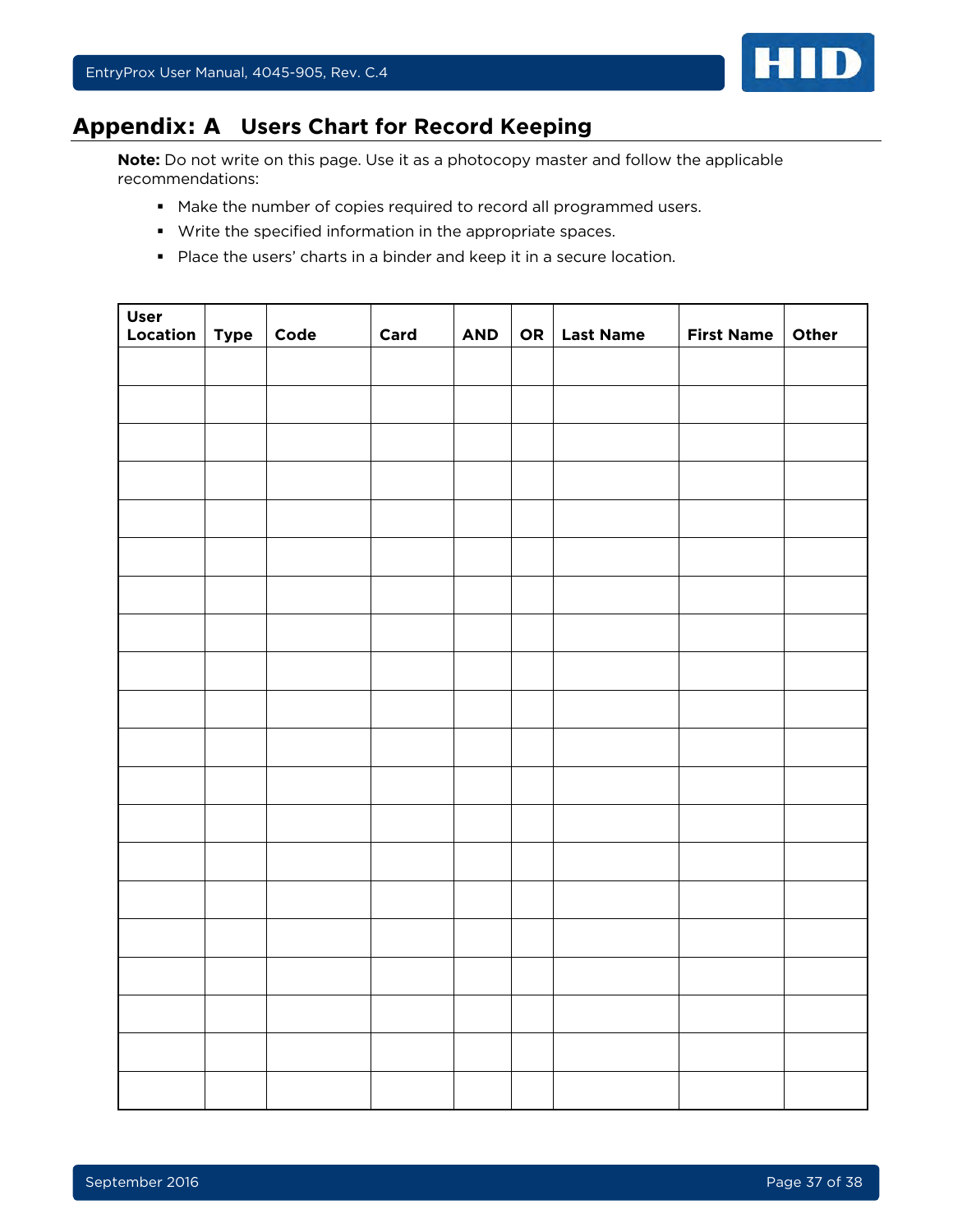

# <span id="page-36-0"></span>**Appendix: A Users Chart for Record Keeping**

**Note:** Do not write on this page. Use it as a photocopy master and follow the applicable recommendations:

- Make the number of copies required to record all programmed users.
- Write the specified information in the appropriate spaces.
- **Place the users' charts in a binder and keep it in a secure location.**

| <b>User</b><br>Location   $Type$ | Code | Card | <b>AND</b> | OR   Last Name | First Name   Other |  |
|----------------------------------|------|------|------------|----------------|--------------------|--|
|                                  |      |      |            |                |                    |  |
|                                  |      |      |            |                |                    |  |
|                                  |      |      |            |                |                    |  |
|                                  |      |      |            |                |                    |  |
|                                  |      |      |            |                |                    |  |
|                                  |      |      |            |                |                    |  |
|                                  |      |      |            |                |                    |  |
|                                  |      |      |            |                |                    |  |
|                                  |      |      |            |                |                    |  |
|                                  |      |      |            |                |                    |  |
|                                  |      |      |            |                |                    |  |
|                                  |      |      |            |                |                    |  |
|                                  |      |      |            |                |                    |  |
|                                  |      |      |            |                |                    |  |
|                                  |      |      |            |                |                    |  |
|                                  |      |      |            |                |                    |  |
|                                  |      |      |            |                |                    |  |
|                                  |      |      |            |                |                    |  |
|                                  |      |      |            |                |                    |  |
|                                  |      |      |            |                |                    |  |